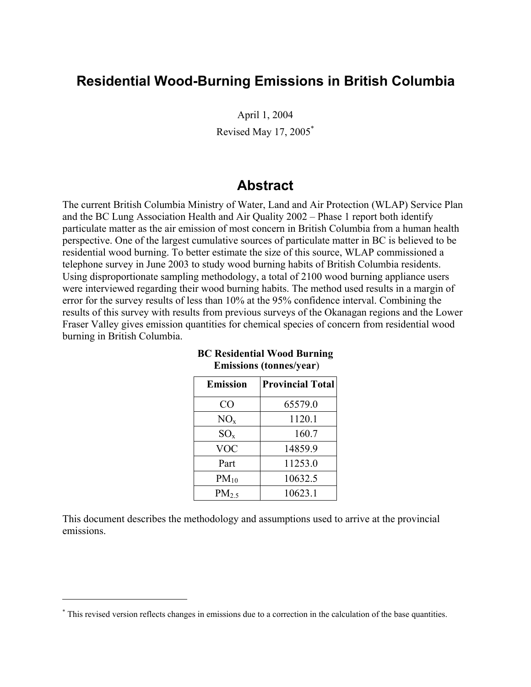## **Residential Wood-Burning Emissions in British Columbia**

April 1, 2004 Revised May 17, 2005\*

### **Abstract**

The current British Columbia Ministry of Water, Land and Air Protection (WLAP) Service Plan and the BC Lung Association Health and Air Quality 2002 – Phase 1 report both identify particulate matter as the air emission of most concern in British Columbia from a human health perspective. One of the largest cumulative sources of particulate matter in BC is believed to be residential wood burning. To better estimate the size of this source, WLAP commissioned a telephone survey in June 2003 to study wood burning habits of British Columbia residents. Using disproportionate sampling methodology, a total of 2100 wood burning appliance users were interviewed regarding their wood burning habits. The method used results in a margin of error for the survey results of less than 10% at the 95% confidence interval. Combining the results of this survey with results from previous surveys of the Okanagan regions and the Lower Fraser Valley gives emission quantities for chemical species of concern from residential wood burning in British Columbia.

| <b>Emission</b> | <b>Provincial Total</b> |
|-----------------|-------------------------|
| CO              | 65579.0                 |
| NO <sub>x</sub> | 1120.1                  |
| $SO_{x}$        | 160.7                   |
| VOC             | 14859.9                 |
| Part            | 11253.0                 |
| $PM_{10}$       | 10632.5                 |
| $PM_{2.5}$      | 10623.1                 |

#### **BC Residential Wood Burning Emissions (tonnes/year**)

This document describes the methodology and assumptions used to arrive at the provincial emissions.

 $\overline{a}$ 

<sup>\*</sup> This revised version reflects changes in emissions due to a correction in the calculation of the base quantities.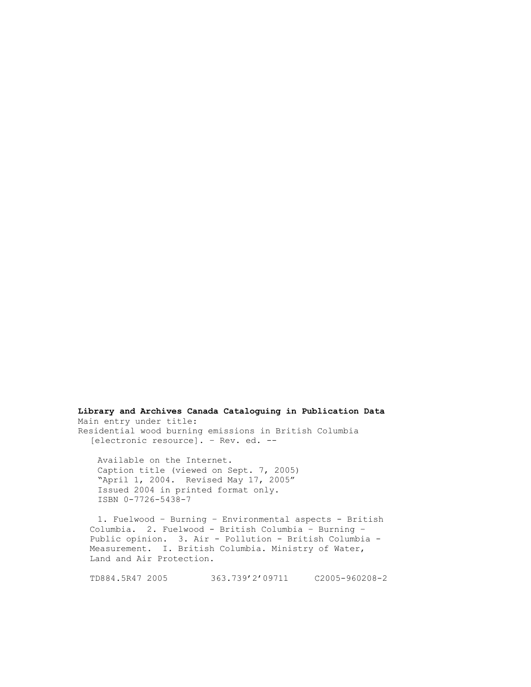**Library and Archives Canada Cataloguing in Publication Data**  Main entry under title: Residential wood burning emissions in British Columbia [electronic resource]. – Rev. ed. --

Available on the Internet. Caption title (viewed on Sept. 7, 2005) "April 1, 2004. Revised May 17, 2005" Issued 2004 in printed format only. ISBN 0-7726-5438-7

1. Fuelwood – Burning – Environmental aspects - British Columbia. 2. Fuelwood - British Columbia – Burning – Public opinion. 3. Air - Pollution - British Columbia - Measurement. I. British Columbia. Ministry of Water, Land and Air Protection.

TD884.5R47 2005 363.739'2'09711 C2005-960208-2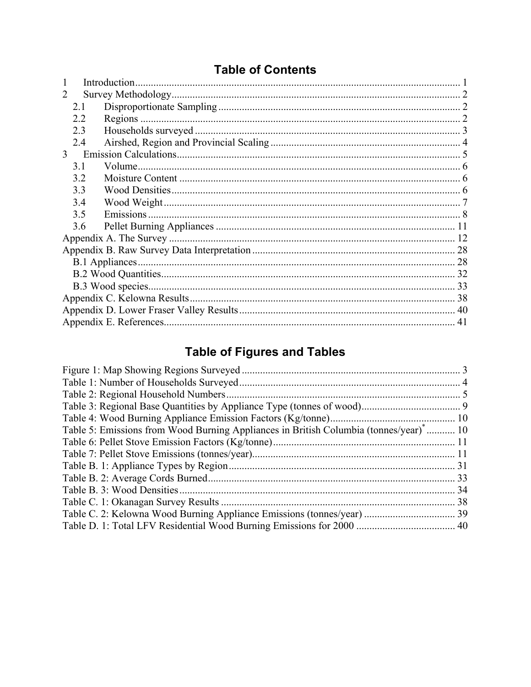## **Table of Contents**

| $\mathcal{L}$  |  | 2 |  |  |  |  |  |
|----------------|--|---|--|--|--|--|--|
| 2.1            |  |   |  |  |  |  |  |
| 2.2            |  |   |  |  |  |  |  |
| 2.3            |  |   |  |  |  |  |  |
| 2.4            |  |   |  |  |  |  |  |
| 3 <sup>7</sup> |  |   |  |  |  |  |  |
| 3.1            |  |   |  |  |  |  |  |
| 3.2            |  |   |  |  |  |  |  |
| 3.3            |  |   |  |  |  |  |  |
| 3.4            |  |   |  |  |  |  |  |
| 3.5            |  |   |  |  |  |  |  |
| 3.6            |  |   |  |  |  |  |  |
|                |  |   |  |  |  |  |  |
|                |  |   |  |  |  |  |  |
|                |  |   |  |  |  |  |  |
|                |  |   |  |  |  |  |  |
|                |  |   |  |  |  |  |  |
|                |  |   |  |  |  |  |  |
|                |  |   |  |  |  |  |  |
|                |  |   |  |  |  |  |  |
|                |  |   |  |  |  |  |  |

# **Table of Figures and Tables**

| Table 5: Emissions from Wood Burning Appliances in British Columbia (tonnes/year) <sup>*</sup> 10 |    |
|---------------------------------------------------------------------------------------------------|----|
|                                                                                                   |    |
|                                                                                                   |    |
|                                                                                                   |    |
|                                                                                                   |    |
|                                                                                                   |    |
|                                                                                                   | 38 |
|                                                                                                   |    |
|                                                                                                   |    |
|                                                                                                   |    |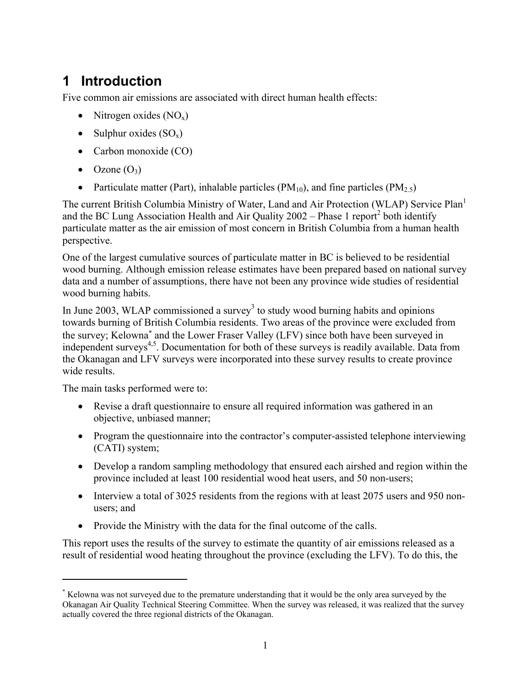# **1 Introduction**

Five common air emissions are associated with direct human health effects:

- Nitrogen oxides  $(NO_x)$
- Sulphur oxides  $(SO_x)$
- Carbon monoxide (CO)
- Ozone  $(O_3)$
- Particulate matter (Part), inhalable particles (PM<sub>10</sub>), and fine particles (PM<sub>2.5</sub>)

The current British Columbia Ministry of Water, Land and Air Protection (WLAP) Service Plan<sup>1</sup> and the BC Lung Association Health and Air Quality  $2002 -$  Phase 1 report<sup>2</sup> both identify particulate matter as the air emission of most concern in British Columbia from a human health perspective.

One of the largest cumulative sources of particulate matter in BC is believed to be residential wood burning. Although emission release estimates have been prepared based on national survey data and a number of assumptions, there have not been any province wide studies of residential wood burning habits.

In June 2003, WLAP commissioned a survey<sup>3</sup> to study wood burning habits and opinions towards burning of British Columbia residents. Two areas of the province were excluded from the survey; Kelowna<sup>\*</sup> and the Lower Fraser Valley (LFV) since both have been surveyed in independent surveys<sup>4,5</sup>. Documentation for both of these surveys is readily available. Data from the Okanagan and LFV surveys were incorporated into these survey results to create province wide results.

The main tasks performed were to:

1

- Revise a draft questionnaire to ensure all required information was gathered in an objective, unbiased manner;
- Program the questionnaire into the contractor's computer-assisted telephone interviewing (CATI) system;
- Develop a random sampling methodology that ensured each airshed and region within the province included at least 100 residential wood heat users, and 50 non-users;
- Interview a total of 3025 residents from the regions with at least 2075 users and 950 nonusers; and
- Provide the Ministry with the data for the final outcome of the calls.

This report uses the results of the survey to estimate the quantity of air emissions released as a result of residential wood heating throughout the province (excluding the LFV). To do this, the

<sup>\*</sup> Kelowna was not surveyed due to the premature understanding that it would be the only area surveyed by the Okanagan Air Quality Technical Steering Committee. When the survey was released, it was realized that the survey actually covered the three regional districts of the Okanagan.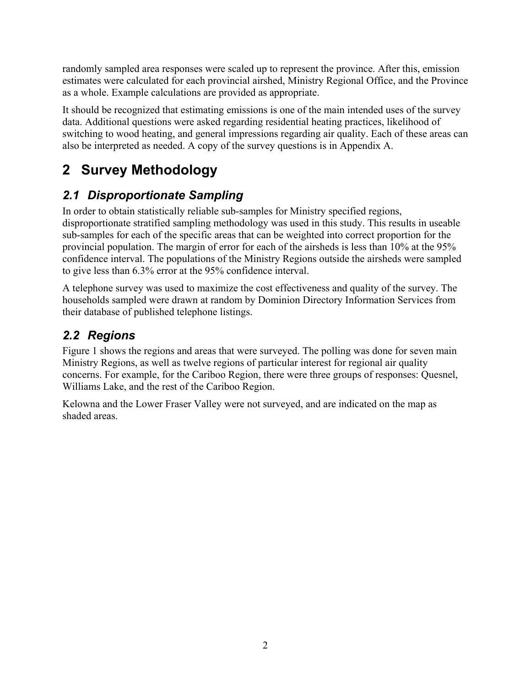randomly sampled area responses were scaled up to represent the province. After this, emission estimates were calculated for each provincial airshed, Ministry Regional Office, and the Province as a whole. Example calculations are provided as appropriate.

It should be recognized that estimating emissions is one of the main intended uses of the survey data. Additional questions were asked regarding residential heating practices, likelihood of switching to wood heating, and general impressions regarding air quality. Each of these areas can also be interpreted as needed. A copy of the survey questions is in Appendix A.

# **2 Survey Methodology**

## *2.1 Disproportionate Sampling*

In order to obtain statistically reliable sub-samples for Ministry specified regions, disproportionate stratified sampling methodology was used in this study. This results in useable sub-samples for each of the specific areas that can be weighted into correct proportion for the provincial population. The margin of error for each of the airsheds is less than 10% at the 95% confidence interval. The populations of the Ministry Regions outside the airsheds were sampled to give less than 6.3% error at the 95% confidence interval.

A telephone survey was used to maximize the cost effectiveness and quality of the survey. The households sampled were drawn at random by Dominion Directory Information Services from their database of published telephone listings.

## *2.2 Regions*

Figure 1 shows the regions and areas that were surveyed. The polling was done for seven main Ministry Regions, as well as twelve regions of particular interest for regional air quality concerns. For example, for the Cariboo Region, there were three groups of responses: Quesnel, Williams Lake, and the rest of the Cariboo Region.

Kelowna and the Lower Fraser Valley were not surveyed, and are indicated on the map as shaded areas.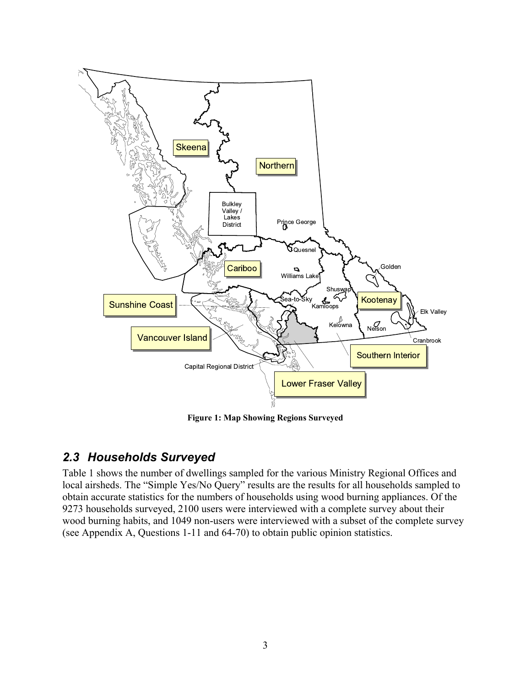

**Figure 1: Map Showing Regions Surveyed** 

### *2.3 Households Surveyed*

Table 1 shows the number of dwellings sampled for the various Ministry Regional Offices and local airsheds. The "Simple Yes/No Query" results are the results for all households sampled to obtain accurate statistics for the numbers of households using wood burning appliances. Of the 9273 households surveyed, 2100 users were interviewed with a complete survey about their wood burning habits, and 1049 non-users were interviewed with a subset of the complete survey (see Appendix A, Questions 1-11 and 64-70) to obtain public opinion statistics.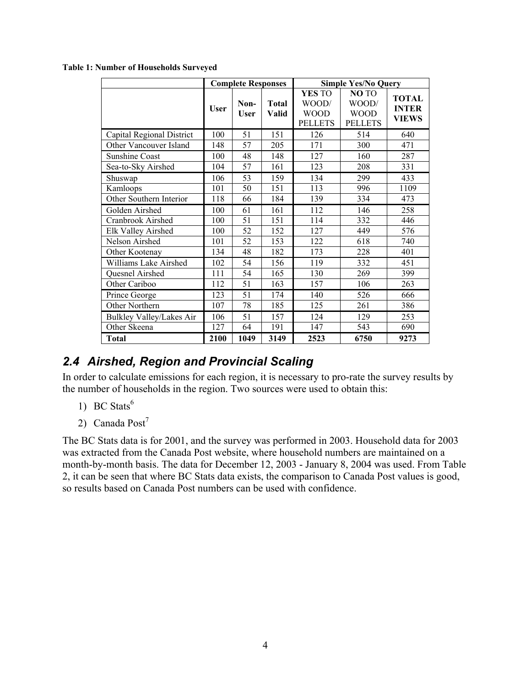|                           |             | <b>Complete Responses</b> |                              | <b>Simple Yes/No Query</b>                       |                                                       |                                       |  |
|---------------------------|-------------|---------------------------|------------------------------|--------------------------------------------------|-------------------------------------------------------|---------------------------------------|--|
|                           | <b>User</b> | Non-<br>User              | <b>Total</b><br><b>Valid</b> | YES TO<br>WOOD/<br><b>WOOD</b><br><b>PELLETS</b> | <b>NOTO</b><br>WOOD/<br><b>WOOD</b><br><b>PELLETS</b> | <b>TOTAL</b><br><b>INTER</b><br>VIEWS |  |
| Capital Regional District | 100         | 51                        | 151                          | 126                                              | 514                                                   | 640                                   |  |
| Other Vancouver Island    | 148         | 57                        | 205                          | 171                                              | 300                                                   | 471                                   |  |
| <b>Sunshine Coast</b>     | 100         | 48                        | 148                          | 127                                              | 160                                                   | 287                                   |  |
| Sea-to-Sky Airshed        | 104         | 57                        | 161                          | 123                                              | 208                                                   | 331                                   |  |
| Shuswap                   | 106         | 53                        | 159                          | 134                                              | 299                                                   | 433                                   |  |
| Kamloops                  | 101         | 50                        | 151                          | 113                                              | 996                                                   | 1109                                  |  |
| Other Southern Interior   | 118         | 66                        | 184                          | 139                                              | 334                                                   | 473                                   |  |
| Golden Airshed            | 100         | 61                        | 161                          | 112                                              | 146                                                   | 258                                   |  |
| Cranbrook Airshed         | 100         | 51                        | 151                          | 114                                              | 332                                                   | 446                                   |  |
| Elk Valley Airshed        | 100         | 52                        | 152                          | 127                                              | 449                                                   | 576                                   |  |
| Nelson Airshed            | 101         | 52                        | 153                          | 122                                              | 618                                                   | 740                                   |  |
| Other Kootenay            | 134         | 48                        | 182                          | 173                                              | 228                                                   | 401                                   |  |
| Williams Lake Airshed     | 102         | 54                        | 156                          | 119                                              | 332                                                   | 451                                   |  |
| Quesnel Airshed           | 111         | 54                        | 165                          | 130                                              | 269                                                   | 399                                   |  |
| Other Cariboo             | 112         | 51                        | 163                          | 157                                              | 106                                                   | 263                                   |  |
| Prince George             | 123         | 51                        | 174                          | 140                                              | 526                                                   | 666                                   |  |
| Other Northern            | 107         | 78                        | 185                          | 125                                              | 261                                                   | 386                                   |  |
| Bulkley Valley/Lakes Air  | 106         | 51                        | 157                          | 124                                              | 129                                                   | 253                                   |  |
| Other Skeena              | 127         | 64                        | 191                          | 147                                              | 543                                                   | 690                                   |  |
| <b>Total</b>              | 2100        | 1049                      | 3149                         | 2523                                             | 6750                                                  | 9273                                  |  |

#### **Table 1: Number of Households Surveyed**

### *2.4 Airshed, Region and Provincial Scaling*

In order to calculate emissions for each region, it is necessary to pro-rate the survey results by the number of households in the region. Two sources were used to obtain this:

- 1) BC Stats $<sup>6</sup>$ </sup>
- 2) Canada Post<sup>7</sup>

The BC Stats data is for 2001, and the survey was performed in 2003. Household data for 2003 was extracted from the Canada Post website, where household numbers are maintained on a month-by-month basis. The data for December 12, 2003 - January 8, 2004 was used. From Table 2, it can be seen that where BC Stats data exists, the comparison to Canada Post values is good, so results based on Canada Post numbers can be used with confidence.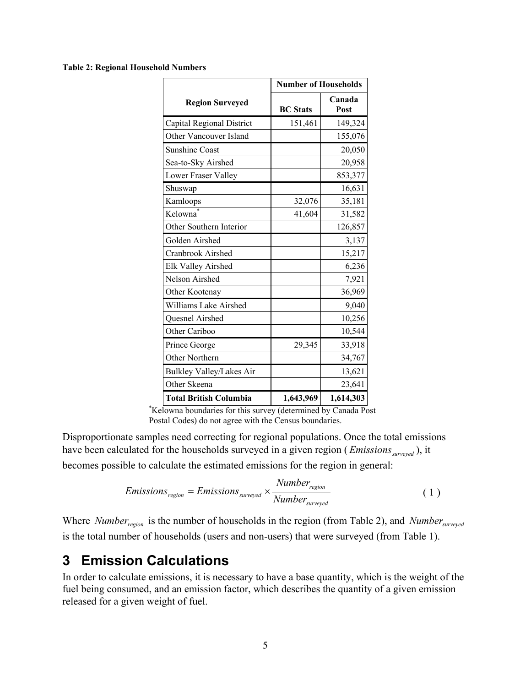#### **Table 2: Regional Household Numbers**

|                               | <b>Number of Households</b> |                |
|-------------------------------|-----------------------------|----------------|
| <b>Region Surveyed</b>        | <b>BC</b> Stats             | Canada<br>Post |
| Capital Regional District     | 151,461                     | 149,324        |
| Other Vancouver Island        |                             | 155,076        |
| <b>Sunshine Coast</b>         |                             | 20,050         |
| Sea-to-Sky Airshed            |                             | 20,958         |
| Lower Fraser Valley           |                             | 853,377        |
| Shuswap                       |                             | 16,631         |
| Kamloops                      | 32,076                      | 35,181         |
| Kelowna                       | 41,604                      | 31,582         |
| Other Southern Interior       |                             | 126,857        |
| Golden Airshed                |                             | 3,137          |
| Cranbrook Airshed             |                             | 15,217         |
| Elk Valley Airshed            |                             | 6,236          |
| Nelson Airshed                |                             | 7,921          |
| Other Kootenay                |                             | 36,969         |
| Williams Lake Airshed         |                             | 9,040          |
| Quesnel Airshed               |                             | 10,256         |
| Other Cariboo                 |                             | 10,544         |
| Prince George                 | 29,345                      | 33,918         |
| Other Northern                |                             | 34,767         |
| Bulkley Valley/Lakes Air      |                             | 13,621         |
| Other Skeena                  |                             | 23,641         |
| <b>Total British Columbia</b> | 1,643,969                   | 1,614,303      |

\* Kelowna boundaries for this survey (determined by Canada Post Postal Codes) do not agree with the Census boundaries.

Disproportionate samples need correcting for regional populations. Once the total emissions have been calculated for the households surveyed in a given region (*Emissions*<sub>surveyed</sub>), it becomes possible to calculate the estimated emissions for the region in general:

*Emissions*<sub>region</sub> = *Emissions*<sub>surveyed</sub> × 
$$
\frac{Number_{region}}{Number_{surveyed}}
$$
 (1)

Where *Number<sub>region</sub>* is the number of households in the region (from Table 2), and *Number*<sub>surveyed</sub> is the total number of households (users and non-users) that were surveyed (from Table 1).

## **3 Emission Calculations**

In order to calculate emissions, it is necessary to have a base quantity, which is the weight of the fuel being consumed, and an emission factor, which describes the quantity of a given emission released for a given weight of fuel.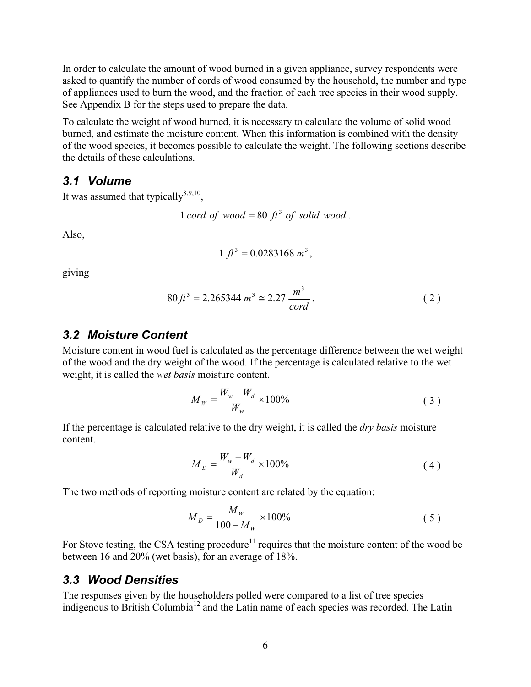In order to calculate the amount of wood burned in a given appliance, survey respondents were asked to quantify the number of cords of wood consumed by the household, the number and type of appliances used to burn the wood, and the fraction of each tree species in their wood supply. See Appendix B for the steps used to prepare the data.

To calculate the weight of wood burned, it is necessary to calculate the volume of solid wood burned, and estimate the moisture content. When this information is combined with the density of the wood species, it becomes possible to calculate the weight. The following sections describe the details of these calculations.

#### *3.1 Volume*

It was assumed that typically $8,9,10$ ,

*cord* of wood = 80  $\hat{\pi}$ <sup>3</sup> of solid wood.

Also,

$$
1 ft^3 = 0.0283168 m^3,
$$

giving

$$
80\,f^3 = 2.265344 \, m^3 \cong 2.27 \, \frac{m^3}{\,} \, \cdot \tag{2}
$$

#### *3.2 Moisture Content*

Moisture content in wood fuel is calculated as the percentage difference between the wet weight of the wood and the dry weight of the wood. If the percentage is calculated relative to the wet weight, it is called the *wet basis* moisture content.

$$
M_{W} = \frac{W_{w} - W_{d}}{W_{w}} \times 100\%
$$
 (3)

If the percentage is calculated relative to the dry weight, it is called the *dry basis* moisture content.

$$
M_{D} = \frac{W_{w} - W_{d}}{W_{d}} \times 100\%
$$
\n(4)

The two methods of reporting moisture content are related by the equation:

$$
M_D = \frac{M_W}{100 - M_W} \times 100\%
$$
 (5)

For Stove testing, the CSA testing procedure<sup>11</sup> requires that the moisture content of the wood be between 16 and 20% (wet basis), for an average of 18%.

#### *3.3 Wood Densities*

The responses given by the householders polled were compared to a list of tree species indigenous to British Columbia12 and the Latin name of each species was recorded. The Latin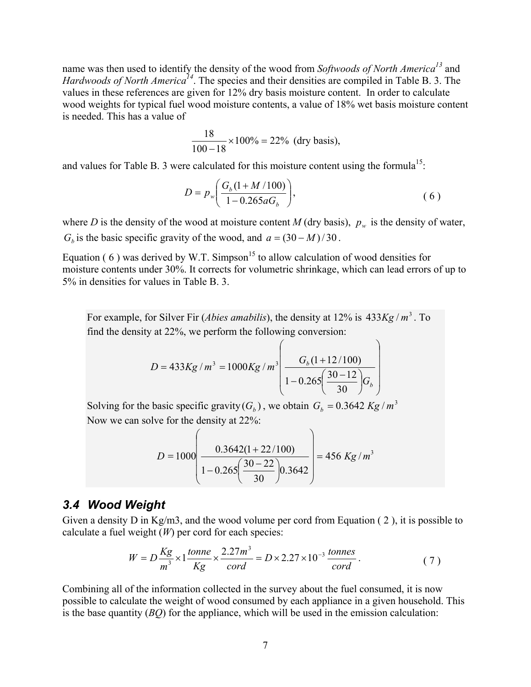name was then used to identify the density of the wood from *Softwoods of North America13* and *Hardwoods of North America*<sup>14</sup>. The species and their densities are compiled in Table B. 3. The values in these references are given for 12% dry basis moisture content. In order to calculate wood weights for typical fuel wood moisture contents, a value of 18% wet basis moisture content is needed. This has a value of

$$
\frac{18}{100-18} \times 100\% = 22\% \text{ (dry basis)},
$$

and values for Table B. 3 were calculated for this moisture content using the formula<sup>15</sup>:

$$
D = p_w \bigg( \frac{G_b (1 + M / 100)}{1 - 0.265 a G_b} \bigg),
$$
 (6)

where *D* is the density of the wood at moisture content *M* (dry basis),  $p_w$  is the density of water, *G<sub>b</sub>* is the basic specific gravity of the wood, and  $a = (30 - M)/30$ .

Equation ( 6 ) was derived by W.T. Simpson<sup>15</sup> to allow calculation of wood densities for moisture contents under 30%. It corrects for volumetric shrinkage, which can lead errors of up to 5% in densities for values in Table B. 3.

For example, for Silver Fir (*Abies amabilis*), the density at 12% is 433*Kg* /  $m^3$ . To find the density at 22%, we perform the following conversion:

$$
D = 433Kg / m^{3} = 1000Kg / m^{3} \left( \frac{G_{b}(1+12/100)}{1-0.265\left(\frac{30-12}{30}\right)G_{b}} \right)
$$

Solving for the basic specific gravity  $(G_b)$ , we obtain  $G_b = 0.3642$  *Kg* /  $m^3$ Now we can solve for the density at 22%:

$$
D = 1000 \left( \frac{0.3642(1+22/100)}{1-0.265 \left( \frac{30-22}{30} \right) 0.3642} \right) = 456 \text{ Kg/m}^3
$$

#### *3.4 Wood Weight*

Given a density D in Kg/m3, and the wood volume per cord from Equation ( 2 ), it is possible to calculate a fuel weight (*W*) per cord for each species:

$$
W = D\frac{Kg}{m^3} \times 1 \frac{tonne}{Kg} \times \frac{2.27m^3}{cord} = D \times 2.27 \times 10^{-3} \frac{tonnes}{cord} \,. \tag{7}
$$

Combining all of the information collected in the survey about the fuel consumed, it is now possible to calculate the weight of wood consumed by each appliance in a given household. This is the base quantity (*BQ*) for the appliance, which will be used in the emission calculation: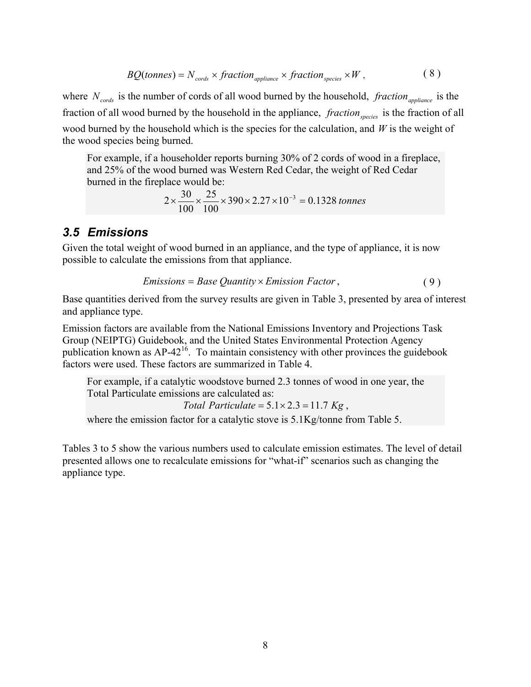$$
BQ(tonnes) = N_{\text{cords}} \times \text{fraction}_{\text{appliance}} \times \text{fraction}_{\text{species}} \times W \,, \tag{8}
$$

where  $N_{\text{cords}}$  is the number of cords of all wood burned by the household, *fraction* <sub>appliance</sub> is the fraction of all wood burned by the household in the appliance, *fraction* species is the fraction of all wood burned by the household which is the species for the calculation, and *W* is the weight of the wood species being burned.

For example, if a householder reports burning 30% of 2 cords of wood in a fireplace, and 25% of the wood burned was Western Red Cedar, the weight of Red Cedar burned in the fireplace would be:

$$
2 \times \frac{30}{100} \times \frac{25}{100} \times 390 \times 2.27 \times 10^{-3} = 0.1328 \text{ tonnes}
$$

#### *3.5 Emissions*

Given the total weight of wood burned in an appliance, and the type of appliance, it is now possible to calculate the emissions from that appliance.

*Emissions* = *Base Quantity* × *Emission Factor*, ( 9 )

Base quantities derived from the survey results are given in Table 3, presented by area of interest and appliance type.

Emission factors are available from the National Emissions Inventory and Projections Task Group (NEIPTG) Guidebook, and the United States Environmental Protection Agency publication known as  $AP-42^{16}$ . To maintain consistency with other provinces the guidebook factors were used. These factors are summarized in Table 4.

For example, if a catalytic woodstove burned 2.3 tonnes of wood in one year, the Total Particulate emissions are calculated as:

Total Particulate = 
$$
5.1 \times 2.3 = 11.7
$$
 *Kg*,

where the emission factor for a catalytic stove is  $5.1\text{Kg/tonne}$  from Table 5.

Tables 3 to 5 show the various numbers used to calculate emission estimates. The level of detail presented allows one to recalculate emissions for "what-if" scenarios such as changing the appliance type.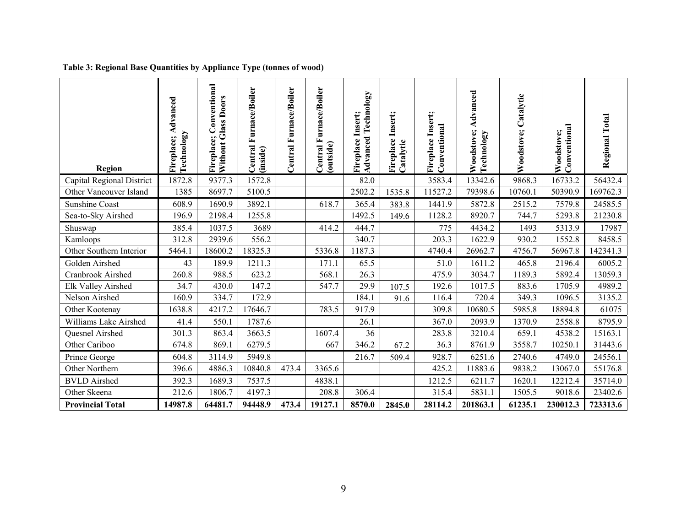#### **Table 3: Regional Base Quantities by Appliance Type (tonnes of wood)**

| Region                    | Advanced<br>Technology<br>Fireplace; | Conventional<br><b>Without Glass Doors</b><br>Fireplace; | Furnace/Boiler<br>Central<br>(inside) | Central Furnace/Boiler | Central Furnace/Boiler<br>(outside) | <b>Advanced Technology</b><br>Fireplace Insert; | Fireplace Insert;<br>Catalytic | Fireplace Insert;<br>Conventional | Advanced<br>Woodstove;<br>Technology | Catalytic<br>Woodstove; | Conventional<br>Woodstove; | Regional Total |
|---------------------------|--------------------------------------|----------------------------------------------------------|---------------------------------------|------------------------|-------------------------------------|-------------------------------------------------|--------------------------------|-----------------------------------|--------------------------------------|-------------------------|----------------------------|----------------|
| Capital Regional District | 1872.8                               | 9377.3                                                   | 1572.8                                |                        |                                     | 82.0                                            |                                | 3583.4                            | 13342.6                              | 9868.3                  | 16733.2                    | 56432.4        |
| Other Vancouver Island    | 1385                                 | 8697.7                                                   | 5100.5                                |                        |                                     | 2502.2                                          | 1535.8                         | 11527.2                           | 79398.6                              | 10760.1                 | 50390.9                    | 169762.3       |
| <b>Sunshine Coast</b>     | 608.9                                | 1690.9                                                   | 3892.1                                |                        | 618.7                               | 365.4                                           | 383.8                          | 1441.9                            | 5872.8                               | 2515.2                  | 7579.8                     | 24585.5        |
| Sea-to-Sky Airshed        | 196.9                                | 2198.4                                                   | 1255.8                                |                        |                                     | 1492.5                                          | 149.6                          | 1128.2                            | 8920.7                               | 744.7                   | 5293.8                     | 21230.8        |
| Shuswap                   | 385.4                                | 1037.5                                                   | 3689                                  |                        | 414.2                               | 444.7                                           |                                | 775                               | 4434.2                               | 1493                    | 5313.9                     | 17987          |
| Kamloops                  | 312.8                                | 2939.6                                                   | 556.2                                 |                        |                                     | 340.7                                           |                                | 203.3                             | 1622.9                               | 930.2                   | 1552.8                     | 8458.5         |
| Other Southern Interior   | 5464.1                               | 18600.2                                                  | 18325.3                               |                        | 5336.8                              | 1187.3                                          |                                | 4740.4                            | 26962.7                              | 4756.7                  | 56967.8                    | 142341.3       |
| Golden Airshed            | 43                                   | 189.9                                                    | 1211.3                                |                        | 171.1                               | 65.5                                            |                                | 51.0                              | 1611.2                               | 465.8                   | 2196.4                     | 6005.2         |
| Cranbrook Airshed         | 260.8                                | 988.5                                                    | 623.2                                 |                        | 568.1                               | 26.3                                            |                                | 475.9                             | 3034.7                               | 1189.3                  | 5892.4                     | 13059.3        |
| Elk Valley Airshed        | 34.7                                 | 430.0                                                    | 147.2                                 |                        | 547.7                               | 29.9                                            | 107.5                          | 192.6                             | 1017.5                               | 883.6                   | 1705.9                     | 4989.2         |
| Nelson Airshed            | 160.9                                | 334.7                                                    | 172.9                                 |                        |                                     | 184.1                                           | 91.6                           | 116.4                             | 720.4                                | 349.3                   | 1096.5                     | 3135.2         |
| Other Kootenay            | 1638.8                               | 4217.2                                                   | 17646.7                               |                        | 783.5                               | 917.9                                           |                                | 309.8                             | 10680.5                              | 5985.8                  | 18894.8                    | 61075          |
| Williams Lake Airshed     | 41.4                                 | 550.1                                                    | 1787.6                                |                        |                                     | 26.1                                            |                                | 367.0                             | 2093.9                               | 1370.9                  | 2558.8                     | 8795.9         |
| Quesnel Airshed           | 301.3                                | 863.4                                                    | 3663.5                                |                        | 1607.4                              | 36                                              |                                | 283.8                             | 3210.4                               | 659.1                   | 4538.2                     | 15163.1        |
| Other Cariboo             | 674.8                                | 869.1                                                    | 6279.5                                |                        | 667                                 | 346.2                                           | 67.2                           | 36.3                              | 8761.9                               | 3558.7                  | 10250.1                    | 31443.6        |
| Prince George             | 604.8                                | 3114.9                                                   | 5949.8                                |                        |                                     | 216.7                                           | 509.4                          | 928.7                             | 6251.6                               | 2740.6                  | 4749.0                     | 24556.1        |
| Other Northern            | 396.6                                | 4886.3                                                   | 10840.8                               | 473.4                  | 3365.6                              |                                                 |                                | 425.2                             | 11883.6                              | 9838.2                  | 13067.0                    | 55176.8        |
| <b>BVLD</b> Airshed       | 392.3                                | 1689.3                                                   | 7537.5                                |                        | 4838.1                              |                                                 |                                | 1212.5                            | 6211.7                               | 1620.1                  | 12212.4                    | 35714.0        |
| Other Skeena              | 212.6                                | 1806.7                                                   | 4197.3                                |                        | 208.8                               | 306.4                                           |                                | 315.4                             | 5831.1                               | 1505.5                  | 9018.6                     | 23402.6        |
| <b>Provincial Total</b>   | 14987.8                              | 64481.7                                                  | 94448.9                               | 473.4                  | 19127.1                             | 8570.0                                          | 2845.0                         | 28114.2                           | 201863.1                             | 61235.1                 | 230012.3                   | 723313.6       |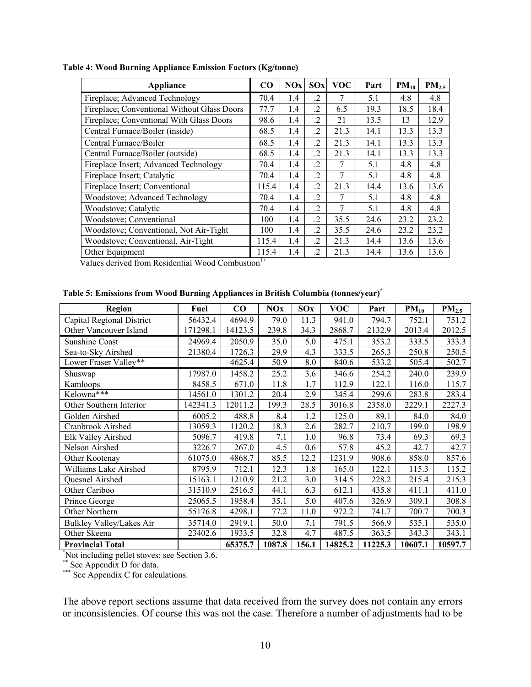| Appliance                                   | $\bf CO$ | <b>NOx</b> | SOx            | <b>VOC</b> | Part | $PM_{10}$ | PM <sub>2.5</sub> |
|---------------------------------------------|----------|------------|----------------|------------|------|-----------|-------------------|
| Fireplace; Advanced Technology              | 70.4     | 1.4        | $\cdot$ .2     | 7          | 5.1  | 4.8       | 4.8               |
| Fireplace; Conventional Without Glass Doors | 77.7     | 1.4        | $\overline{2}$ | 6.5        | 19.3 | 18.5      | 18.4              |
| Fireplace; Conventional With Glass Doors    | 98.6     | 1.4        | $\cdot$ 2      | 21         | 13.5 | 13        | 12.9              |
| Central Furnace/Boiler (inside)             | 68.5     | 1.4        | $\cdot$ 2      | 21.3       | 14.1 | 13.3      | 13.3              |
| Central Furnace/Boiler                      | 68.5     | 1.4        | $\overline{2}$ | 21.3       | 14.1 | 13.3      | 13.3              |
| Central Furnace/Boiler (outside)            | 68.5     | 1.4        | .2             | 21.3       | 14.1 | 13.3      | 13.3              |
| Fireplace Insert; Advanced Technology       | 70.4     | 1.4        | $\overline{2}$ | 7          | 5.1  | 4.8       | 4.8               |
| Fireplace Insert; Catalytic                 | 70.4     | 1.4        | $\cdot$        | 7          | 5.1  | 4.8       | 4.8               |
| Fireplace Insert; Conventional              | 115.4    | 1.4        | $\overline{2}$ | 21.3       | 14.4 | 13.6      | 13.6              |
| <b>Woodstove</b> ; Advanced Technology      | 70.4     | 1.4        | .2             | 7          | 5.1  | 4.8       | 4.8               |
| Woodstove; Catalytic                        | 70.4     | 1.4        | $\overline{2}$ | 7          | 5.1  | 4.8       | 4.8               |
| Woodstove; Conventional                     | 100      | 1.4        | $\overline{2}$ | 35.5       | 24.6 | 23.2      | 23.2              |
| Woodstove; Conventional, Not Air-Tight      | 100      | 1.4        | $\overline{2}$ | 35.5       | 24.6 | 23.2      | 23.2              |
| Woodstove; Conventional, Air-Tight          | 115.4    | 1.4        | $\cdot$ 2      | 21.3       | 14.4 | 13.6      | 13.6              |
| Other Equipment                             | 115.4    | 1.4        | $\overline{c}$ | 21.3       | 14.4 | 13.6      | 13.6              |

#### **Table 4: Wood Burning Appliance Emission Factors (Kg/tonne)**

Values derived from Residential Wood Combustion<sup>17</sup>

|  | Table 5: Emissions from Wood Burning Appliances in British Columbia (tonnes/year)* |  |
|--|------------------------------------------------------------------------------------|--|
|  |                                                                                    |  |

| Region                                        | Fuel     | $\bf CO$ | <b>NOx</b> | SOx   | <b>VOC</b> | Part    | $PM_{10}$ | PM <sub>2.5</sub> |
|-----------------------------------------------|----------|----------|------------|-------|------------|---------|-----------|-------------------|
| Capital Regional District                     | 56432.4  | 4694.9   | 79.0       | 11.3  | 941.0      | 794.7   | 752.1     | 751.2             |
| Other Vancouver Island                        | 171298.1 | 14123.5  | 239.8      | 34.3  | 2868.7     | 2132.9  | 2013.4    | 2012.5            |
| <b>Sunshine Coast</b>                         | 24969.4  | 2050.9   | 35.0       | 5.0   | 475.1      | 353.2   | 333.5     | 333.3             |
| Sea-to-Sky Airshed                            | 21380.4  | 1726.3   | 29.9       | 4.3   | 333.5      | 265.3   | 250.8     | 250.5             |
| Lower Fraser Valley**                         |          | 4625.4   | 50.9       | 8.0   | 840.6      | 533.2   | 505.4     | 502.7             |
| Shuswap                                       | 17987.0  | 1458.2   | 25.2       | 3.6   | 346.6      | 254.2   | 240.0     | 239.9             |
| Kamloops                                      | 8458.5   | 671.0    | 11.8       | 1.7   | 112.9      | 122.1   | 116.0     | 115.7             |
| Kelowna***                                    | 14561.0  | 1301.2   | 20.4       | 2.9   | 345.4      | 299.6   | 283.8     | 283.4             |
| Other Southern Interior                       | 142341.3 | 12011.2  | 199.3      | 28.5  | 3016.8     | 2358.0  | 2229.1    | 2227.3            |
| Golden Airshed                                | 6005.2   | 488.8    | 8.4        | 1.2   | 125.0      | 89.1    | 84.0      | 84.0              |
| Cranbrook Airshed                             | 13059.3  | 1120.2   | 18.3       | 2.6   | 282.7      | 210.7   | 199.0     | 198.9             |
| Elk Valley Airshed                            | 5096.7   | 419.8    | 7.1        | 1.0   | 96.8       | 73.4    | 69.3      | 69.3              |
| Nelson Airshed                                | 3226.7   | 267.0    | 4.5        | 0.6   | 57.8       | 45.2    | 42.7      | 42.7              |
| Other Kootenay                                | 61075.0  | 4868.7   | 85.5       | 12.2  | 1231.9     | 908.6   | 858.0     | 857.6             |
| Williams Lake Airshed                         | 8795.9   | 712.1    | 12.3       | 1.8   | 165.0      | 122.1   | 115.3     | 115.2             |
| <b>Quesnel Airshed</b>                        | 15163.1  | 1210.9   | 21.2       | 3.0   | 314.5      | 228.2   | 215.4     | 215.3             |
| Other Cariboo                                 | 31510.9  | 2516.5   | 44.1       | 6.3   | 612.1      | 435.8   | 411.1     | 411.0             |
| Prince George                                 | 25065.5  | 1958.4   | 35.1       | 5.0   | 407.6      | 326.9   | 309.1     | 308.8             |
| Other Northern                                | 55176.8  | 4298.1   | 77.2       | 11.0  | 972.2      | 741.7   | 700.7     | 700.3             |
| Bulkley Valley/Lakes Air                      | 35714.0  | 2919.1   | 50.0       | 7.1   | 791.5      | 566.9   | 535.1     | 535.0             |
| Other Skeena                                  | 23402.6  | 1933.5   | 32.8       | 4.7   | 487.5      | 363.5   | 343.3     | 343.1             |
| <b>Provincial Total</b>                       |          | 65375.7  | 1087.8     | 156.1 | 14825.2    | 11225.3 | 10607.1   | 10597.7           |
| Not including pellet stoves; see Section 3.6. |          |          |            |       |            |         |           |                   |

\*\* See Appendix D for data.

\*\*\* See Appendix C for calculations.

The above report sections assume that data received from the survey does not contain any errors or inconsistencies. Of course this was not the case. Therefore a number of adjustments had to be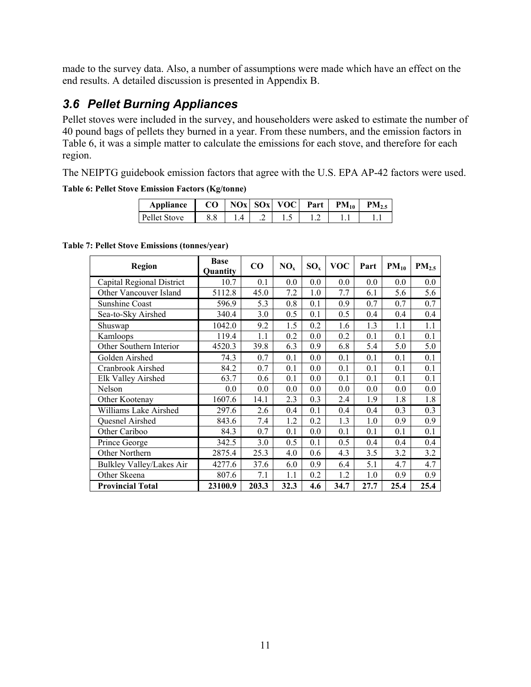made to the survey data. Also, a number of assumptions were made which have an effect on the end results. A detailed discussion is presented in Appendix B.

### *3.6 Pellet Burning Appliances*

Pellet stoves were included in the survey, and householders were asked to estimate the number of 40 pound bags of pellets they burned in a year. From these numbers, and the emission factors in Table 6, it was a simple matter to calculate the emissions for each stove, and therefore for each region.

The NEIPTG guidebook emission factors that agree with the U.S. EPA AP-42 factors were used.

**Table 6: Pellet Stove Emission Factors (Kg/tonne)** 

| Appliance           | CO |  | $ NOx $ SOx VOC $ $ | Part | $PM_{10}$ | PM, |
|---------------------|----|--|---------------------|------|-----------|-----|
| <b>Pellet Stove</b> |    |  |                     |      |           |     |

**Table 7: Pellet Stove Emissions (tonnes/year)** 

| <b>Region</b>             | <b>Base</b><br>Quantity | CO    | NO <sub>x</sub> | $SO_{x}$ | <b>VOC</b> | Part | $PM_{10}$ | PM <sub>2.5</sub> |
|---------------------------|-------------------------|-------|-----------------|----------|------------|------|-----------|-------------------|
| Capital Regional District | 10.7                    | 0.1   | 0.0             | 0.0      | 0.0        | 0.0  | 0.0       | 0.0               |
| Other Vancouver Island    | 5112.8                  | 45.0  | 7.2             | 1.0      | 7.7        | 6.1  | 5.6       | 5.6               |
| <b>Sunshine Coast</b>     | 596.9                   | 5.3   | 0.8             | 0.1      | 0.9        | 0.7  | 0.7       | 0.7               |
| Sea-to-Sky Airshed        | 340.4                   | 3.0   | 0.5             | 0.1      | 0.5        | 0.4  | 0.4       | 0.4               |
| Shuswap                   | 1042.0                  | 9.2   | 1.5             | 0.2      | 1.6        | 1.3  | 1.1       | 1.1               |
| Kamloops                  | 119.4                   | 1.1   | 0.2             | 0.0      | 0.2        | 0.1  | 0.1       | 0.1               |
| Other Southern Interior   | 4520.3                  | 39.8  | 6.3             | 0.9      | 6.8        | 5.4  | 5.0       | 5.0               |
| Golden Airshed            | 74.3                    | 0.7   | 0.1             | 0.0      | 0.1        | 0.1  | 0.1       | 0.1               |
| Cranbrook Airshed         | 84.2                    | 0.7   | 0.1             | 0.0      | 0.1        | 0.1  | 0.1       | 0.1               |
| Elk Valley Airshed        | 63.7                    | 0.6   | 0.1             | 0.0      | 0.1        | 0.1  | 0.1       | 0.1               |
| Nelson                    | 0.0                     | 0.0   | 0.0             | 0.0      | 0.0        | 0.0  | 0.0       | 0.0               |
| Other Kootenay            | 1607.6                  | 14.1  | 2.3             | 0.3      | 2.4        | 1.9  | 1.8       | 1.8               |
| Williams Lake Airshed     | 297.6                   | 2.6   | 0.4             | 0.1      | 0.4        | 0.4  | 0.3       | 0.3               |
| Quesnel Airshed           | 843.6                   | 7.4   | 1.2             | 0.2      | 1.3        | 1.0  | 0.9       | 0.9               |
| Other Cariboo             | 84.3                    | 0.7   | 0.1             | 0.0      | 0.1        | 0.1  | 0.1       | 0.1               |
| Prince George             | 342.5                   | 3.0   | 0.5             | 0.1      | 0.5        | 0.4  | 0.4       | 0.4               |
| Other Northern            | 2875.4                  | 25.3  | 4.0             | 0.6      | 4.3        | 3.5  | 3.2       | 3.2               |
| Bulkley Valley/Lakes Air  | 4277.6                  | 37.6  | 6.0             | 0.9      | 6.4        | 5.1  | 4.7       | 4.7               |
| Other Skeena              | 807.6                   | 7.1   | 1.1             | 0.2      | 1.2        | 1.0  | 0.9       | 0.9               |
| <b>Provincial Total</b>   | 23100.9                 | 203.3 | 32.3            | 4.6      | 34.7       | 27.7 | 25.4      | 25.4              |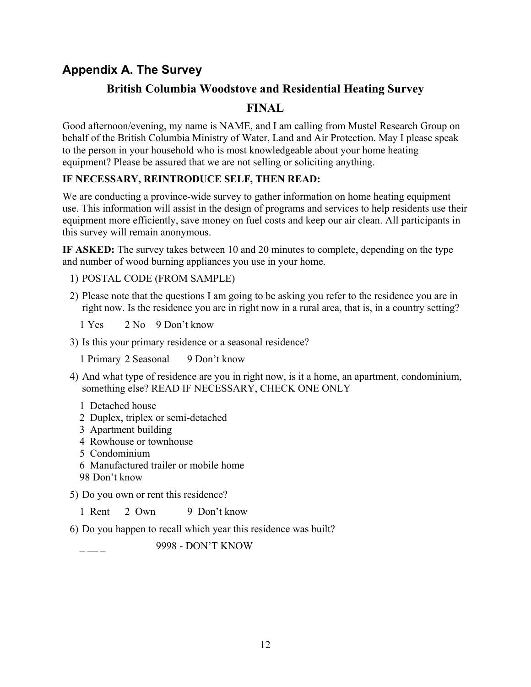### **Appendix A. The Survey**

### **British Columbia Woodstove and Residential Heating Survey**

### **FINAL**

Good afternoon/evening, my name is NAME, and I am calling from Mustel Research Group on behalf of the British Columbia Ministry of Water, Land and Air Protection. May I please speak to the person in your household who is most knowledgeable about your home heating equipment? Please be assured that we are not selling or soliciting anything.

#### **IF NECESSARY, REINTRODUCE SELF, THEN READ:**

We are conducting a province-wide survey to gather information on home heating equipment use. This information will assist in the design of programs and services to help residents use their equipment more efficiently, save money on fuel costs and keep our air clean. All participants in this survey will remain anonymous.

**IF ASKED:** The survey takes between 10 and 20 minutes to complete, depending on the type and number of wood burning appliances you use in your home.

- 1) POSTAL CODE (FROM SAMPLE)
- 2) Please note that the questions I am going to be asking you refer to the residence you are in right now. Is the residence you are in right now in a rural area, that is, in a country setting?
	- 1 Yes 2 No 9 Don't know
- 3) Is this your primary residence or a seasonal residence?

1 Primary 2 Seasonal 9 Don't know

- 4) And what type of residence are you in right now, is it a home, an apartment, condominium, something else? READ IF NECESSARY, CHECK ONE ONLY
	- 1 Detached house
	- 2 Duplex, triplex or semi-detached
	- 3 Apartment building
	- 4 Rowhouse or townhouse
	- 5 Condominium
	- 6 Manufactured trailer or mobile home
	- 98 Don't know

5) Do you own or rent this residence?

1 Rent 2 Own 9 Don't know

6) Do you happen to recall which year this residence was built?

\_ \_ \_ 9998 - DON'T KNOW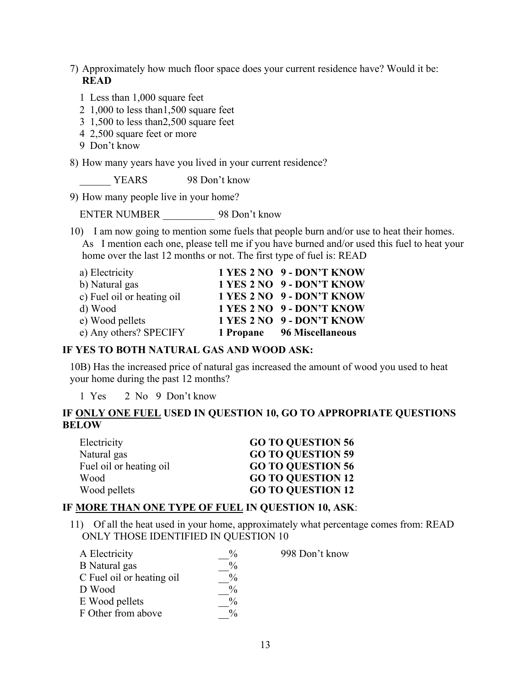#### 7) Approximately how much floor space does your current residence have? Would it be: **READ**

- 1 Less than 1,000 square feet
- 2 1,000 to less than1,500 square feet
- 3 1,500 to less than2,500 square feet
- 4 2,500 square feet or more
- 9 Don't know

8) How many years have you lived in your current residence?

YEARS 98 Don't know

9) How many people live in your home?

ENTER NUMBER \_\_\_\_\_\_\_\_\_\_ 98 Don't know

10) I am now going to mention some fuels that people burn and/or use to heat their homes. As I mention each one, please tell me if you have burned and/or used this fuel to heat your home over the last 12 months or not. The first type of fuel is: READ

| a) Electricity             | 1 YES 2 NO 9 - DON'T KNOW  |
|----------------------------|----------------------------|
| b) Natural gas             | 1 YES 2 NO 9 - DON'T KNOW  |
| c) Fuel oil or heating oil | 1 YES 2 NO 9 - DON'T KNOW  |
| d) Wood                    | 1 YES 2 NO 9 - DON'T KNOW  |
| e) Wood pellets            | 1 YES 2 NO 9 - DON'T KNOW  |
| e) Any others? SPECIFY     | 1 Propane 96 Miscellaneous |

#### **IF YES TO BOTH NATURAL GAS AND WOOD ASK:**

10B) Has the increased price of natural gas increased the amount of wood you used to heat your home during the past 12 months?

1 Yes 2 No 9 Don't know

#### **IF ONLY ONE FUEL USED IN QUESTION 10, GO TO APPROPRIATE QUESTIONS BELOW**

| Electricity             | <b>GO TO QUESTION 56</b> |
|-------------------------|--------------------------|
| Natural gas             | <b>GO TO QUESTION 59</b> |
| Fuel oil or heating oil | <b>GO TO OUESTION 56</b> |
| Wood                    | <b>GO TO QUESTION 12</b> |
| Wood pellets            | <b>GO TO QUESTION 12</b> |

#### **IF MORE THAN ONE TYPE OF FUEL IN QUESTION 10, ASK**:

11) Of all the heat used in your home, approximately what percentage comes from: READ ONLY THOSE IDENTIFIED IN QUESTION 10

| A Electricity             | $\%$          | 998 Don't know |
|---------------------------|---------------|----------------|
| B Natural gas             | $\frac{0}{0}$ |                |
| C Fuel oil or heating oil | $\frac{0}{0}$ |                |
| D Wood                    | $\%$          |                |
| E Wood pellets            | $\frac{0}{0}$ |                |
| F Other from above        | $\frac{0}{0}$ |                |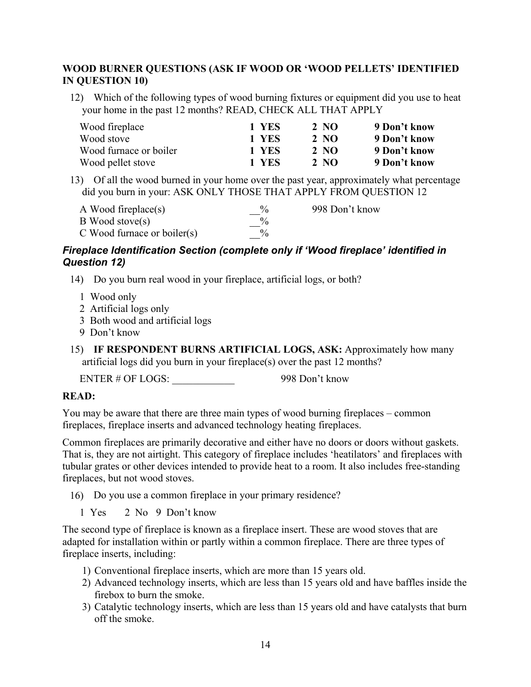#### **WOOD BURNER QUESTIONS (ASK IF WOOD OR 'WOOD PELLETS' IDENTIFIED IN QUESTION 10)**

12) Which of the following types of wood burning fixtures or equipment did you use to heat your home in the past 12 months? READ, CHECK ALL THAT APPLY

| Wood fireplace         | 1 YES | 2 NO | 9 Don't know |
|------------------------|-------|------|--------------|
| Wood stove             | 1 YES | 2 NO | 9 Don't know |
| Wood furnace or boiler | 1 YES | 2 NQ | 9 Don't know |
| Wood pellet stove      | 1 YES | 2 NQ | 9 Don't know |

13) Of all the wood burned in your home over the past year, approximately what percentage did you burn in your: ASK ONLY THOSE THAT APPLY FROM QUESTION 12

| A Wood fireplace(s)              | $\frac{0}{0}$ | 998 Don't know |
|----------------------------------|---------------|----------------|
| $\mathbf B$ Wood stove(s)        | $\%$          |                |
| $C$ Wood furnace or boiler $(s)$ | $\%$          |                |

#### *Fireplace Identification Section (complete only if 'Wood fireplace' identified in Question 12)*

- 14) Do you burn real wood in your fireplace, artificial logs, or both?
	- 1 Wood only
	- 2 Artificial logs only
	- 3 Both wood and artificial logs
	- 9 Don't know
- 15) **IF RESPONDENT BURNS ARTIFICIAL LOGS, ASK:** Approximately how many artificial logs did you burn in your fireplace(s) over the past 12 months?

ENTER # OF LOGS: 998 Don't know

#### **READ:**

You may be aware that there are three main types of wood burning fireplaces – common fireplaces, fireplace inserts and advanced technology heating fireplaces.

Common fireplaces are primarily decorative and either have no doors or doors without gaskets. That is, they are not airtight. This category of fireplace includes 'heatilators' and fireplaces with tubular grates or other devices intended to provide heat to a room. It also includes free-standing fireplaces, but not wood stoves.

- 16) Do you use a common fireplace in your primary residence?
	- 1 Yes 2 No 9 Don't know

The second type of fireplace is known as a fireplace insert. These are wood stoves that are adapted for installation within or partly within a common fireplace. There are three types of fireplace inserts, including:

- 1) Conventional fireplace inserts, which are more than 15 years old.
- 2) Advanced technology inserts, which are less than 15 years old and have baffles inside the firebox to burn the smoke.
- 3) Catalytic technology inserts, which are less than 15 years old and have catalysts that burn off the smoke.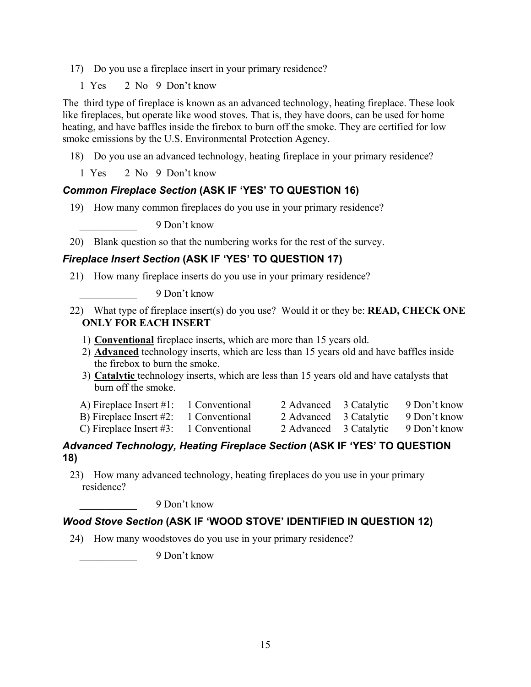- 17) Do you use a fireplace insert in your primary residence?
	- 1 Yes 2 No 9 Don't know

The third type of fireplace is known as an advanced technology, heating fireplace. These look like fireplaces, but operate like wood stoves. That is, they have doors, can be used for home heating, and have baffles inside the firebox to burn off the smoke. They are certified for low smoke emissions by the U.S. Environmental Protection Agency.

18) Do you use an advanced technology, heating fireplace in your primary residence?

1 Yes 2 No 9 Don't know

#### *Common Fireplace Section* **(ASK IF 'YES' TO QUESTION 16)**

19) How many common fireplaces do you use in your primary residence?

\_\_\_\_\_\_\_\_\_\_\_ 9 Don't know

20) Blank question so that the numbering works for the rest of the survey.

#### *Fireplace Insert Section* **(ASK IF 'YES' TO QUESTION 17)**

21) How many fireplace inserts do you use in your primary residence?

\_\_\_\_\_\_\_\_\_\_\_ 9 Don't know

- 22) What type of fireplace insert(s) do you use? Would it or they be: **READ, CHECK ONE ONLY FOR EACH INSERT** 
	- 1) **Conventional** fireplace inserts, which are more than 15 years old.
	- 2) **Advanced** technology inserts, which are less than 15 years old and have baffles inside the firebox to burn the smoke.
	- 3) **Catalytic** technology inserts, which are less than 15 years old and have catalysts that burn off the smoke.
	- A) Fireplace Insert #1: 1 Conventional 2 Advanced 3 Catalytic 9 Don't know B) Fireplace Insert #2: 1 Conventional 2 Advanced 3 Catalytic 9 Don't know
	-
- 
- C) Fireplace Insert #3: 1 Conventional 2 Advanced 3 Catalytic 9 Don't know

#### *Advanced Technology, Heating Fireplace Section* **(ASK IF 'YES' TO QUESTION 18)**

23) How many advanced technology, heating fireplaces do you use in your primary residence?

\_\_\_\_\_\_\_\_\_\_\_ 9 Don't know

#### *Wood Stove Section* **(ASK IF 'WOOD STOVE' IDENTIFIED IN QUESTION 12)**

24) How many woodstoves do you use in your primary residence?

\_\_\_\_\_\_\_\_\_\_\_ 9 Don't know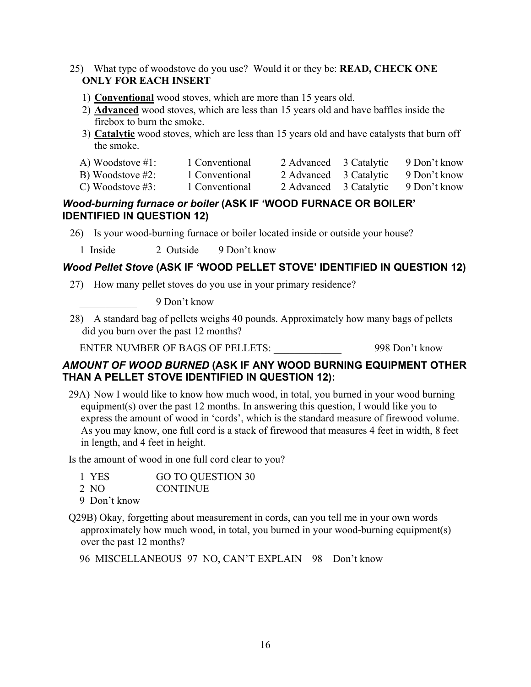- 25) What type of woodstove do you use? Would it or they be: **READ, CHECK ONE ONLY FOR EACH INSERT**
	- 1) **Conventional** wood stoves, which are more than 15 years old.
	- 2) **Advanced** wood stoves, which are less than 15 years old and have baffles inside the firebox to burn the smoke.
	- 3) **Catalytic** wood stoves, which are less than 15 years old and have catalysts that burn off the smoke.

| A) Woodstove $#1$ : | 1 Conventional |  | 2 Advanced 3 Catalytic 9 Don't know |
|---------------------|----------------|--|-------------------------------------|
|                     |                |  |                                     |

- B) Woodstove #2: 1 Conventional 2 Advanced 3 Catalytic 9 Don't know
- C) Woodstove #3: 1 Conventional 2 Advanced 3 Catalytic 9 Don't know

#### *Wood-burning furnace or boiler* **(ASK IF 'WOOD FURNACE OR BOILER' IDENTIFIED IN QUESTION 12)**

- 26) Is your wood-burning furnace or boiler located inside or outside your house?
	- 1 Inside 2 Outside 9 Don't know

#### *Wood Pellet Stove* **(ASK IF 'WOOD PELLET STOVE' IDENTIFIED IN QUESTION 12)**

27) How many pellet stoves do you use in your primary residence?

\_\_\_\_\_\_\_\_\_\_\_ 9 Don't know

28) A standard bag of pellets weighs 40 pounds. Approximately how many bags of pellets did you burn over the past 12 months?

ENTER NUMBER OF BAGS OF PELLETS: 998 Don't know

#### *AMOUNT OF WOOD BURNED* **(ASK IF ANY WOOD BURNING EQUIPMENT OTHER THAN A PELLET STOVE IDENTIFIED IN QUESTION 12):**

29A) Now I would like to know how much wood, in total, you burned in your wood burning equipment(s) over the past 12 months. In answering this question, I would like you to express the amount of wood in 'cords', which is the standard measure of firewood volume. As you may know, one full cord is a stack of firewood that measures 4 feet in width, 8 feet in length, and 4 feet in height.

Is the amount of wood in one full cord clear to you?

|  | 1 YES | GO TO QUESTION 30 |
|--|-------|-------------------|
|--|-------|-------------------|

- 2 NO CONTINUE
- 9 Don't know
- Q29B) Okay, forgetting about measurement in cords, can you tell me in your own words approximately how much wood, in total, you burned in your wood-burning equipment(s) over the past 12 months?

96 MISCELLANEOUS 97 NO, CAN'T EXPLAIN 98 Don't know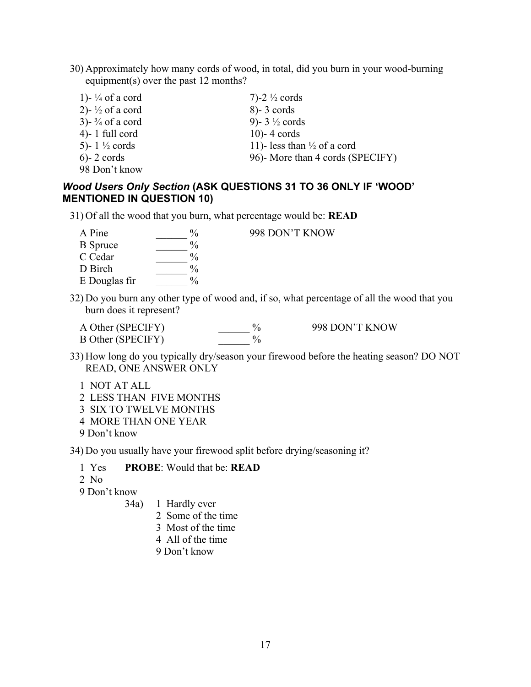30) Approximately how many cords of wood, in total, did you burn in your wood-burning equipment(s) over the past 12 months?

| 1)- $\frac{1}{4}$ of a cord    | 7)-2 $\frac{1}{2}$ cords               |
|--------------------------------|----------------------------------------|
| 2)- $\frac{1}{2}$ of a cord    | $8) - 3$ cords                         |
| $3)$ - $\frac{3}{4}$ of a cord | 9)- $3\frac{1}{2}$ cords               |
| $4$ - 1 full cord              | $10$ -4 cords                          |
| 5)- $1\frac{1}{2}$ cords       | 11)- less than $\frac{1}{2}$ of a cord |
| $6) - 2$ cords                 | 96)- More than 4 cords (SPECIFY)       |
| 98 Don't know                  |                                        |

#### *Wood Users Only Section* **(ASK QUESTIONS 31 TO 36 ONLY IF 'WOOD' MENTIONED IN QUESTION 10)**

31) Of all the wood that you burn, what percentage would be: **READ**

| A Pine          |               |
|-----------------|---------------|
| <b>B</b> Spruce | $\frac{0}{0}$ |
| C Cedar         | $\frac{0}{0}$ |
| D Birch         | $\frac{0}{0}$ |
| E Douglas fir   | $\frac{0}{0}$ |

998 DON'T KNOW

- 32) Do you burn any other type of wood and, if so, what percentage of all the wood that you burn does it represent?
	- A Other (SPECIFY)  $\begin{array}{ccc}\n & \circ_{0} & \circ_{98} \\
	\hline\n\text{DoR} & \circ_{0} & \circ_{98} \\
	\text{DoR} & \circ_{0} & \circ_{0}\n\end{array}$ B Other (SPECIFY)

- 33) How long do you typically dry/season your firewood before the heating season? DO NOT READ, ONE ANSWER ONLY
	- 1 NOT AT ALL
	- 2 LESS THAN FIVE MONTHS
	- 3 SIX TO TWELVE MONTHS
	- 4 MORE THAN ONE YEAR
	- 9 Don't know

34) Do you usually have your firewood split before drying/seasoning it?

- 1 Yes **PROBE**: Would that be: **READ**
- 2 No

9 Don't know

- 34a) 1 Hardly ever
	- 2 Some of the time
	- 3 Most of the time
	- 4 All of the time
	- 9 Don't know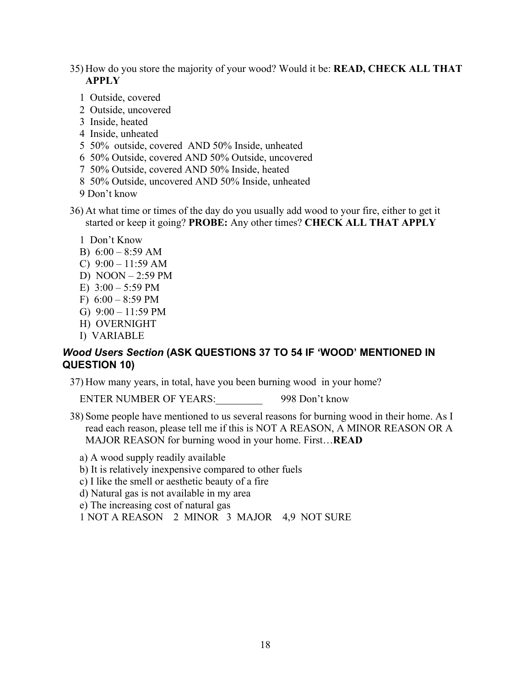35) How do you store the majority of your wood? Would it be: **READ, CHECK ALL THAT APPLY**

- 1 Outside, covered
- 2 Outside, uncovered
- 3 Inside, heated
- 4 Inside, unheated
- 5 50% outside, covered AND 50% Inside, unheated
- 6 50% Outside, covered AND 50% Outside, uncovered
- 7 50% Outside, covered AND 50% Inside, heated
- 8 50% Outside, uncovered AND 50% Inside, unheated
- 9 Don't know

36) At what time or times of the day do you usually add wood to your fire, either to get it started or keep it going? **PROBE:** Any other times? **CHECK ALL THAT APPLY**

- 1 Don't Know
- B)  $6:00 8:59$  AM
- C)  $9:00 11:59$  AM
- D) NOON 2:59 PM
- E)  $3:00 5:59 \text{ PM}$
- F)  $6:00 8:59 \text{ PM}$
- G)  $9:00 11:59 \text{ PM}$
- H) OVERNIGHT
- I) VARIABLE

#### *Wood Users Section* **(ASK QUESTIONS 37 TO 54 IF 'WOOD' MENTIONED IN QUESTION 10)**

37) How many years, in total, have you been burning wood in your home?

ENTER NUMBER OF YEARS: 998 Don't know

38) Some people have mentioned to us several reasons for burning wood in their home. As I read each reason, please tell me if this is NOT A REASON, A MINOR REASON OR A MAJOR REASON for burning wood in your home. First…**READ**

a) A wood supply readily available

- b) It is relatively inexpensive compared to other fuels
- c) I like the smell or aesthetic beauty of a fire
- d) Natural gas is not available in my area
- e) The increasing cost of natural gas
- 1 NOT A REASON 2 MINOR 3 MAJOR 4,9 NOT SURE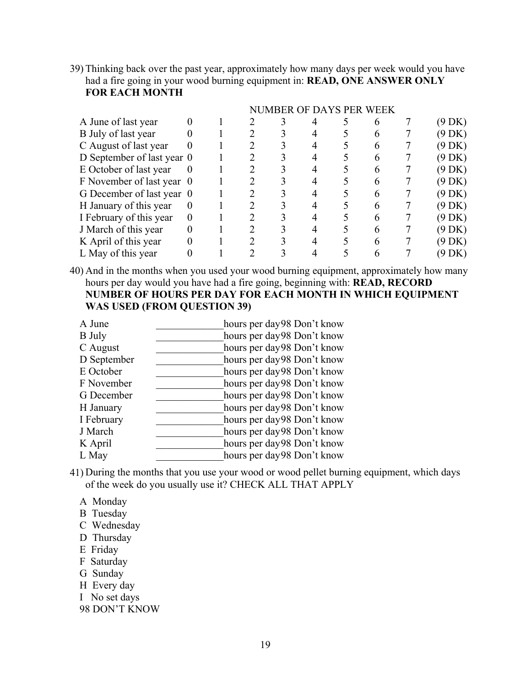39) Thinking back over the past year, approximately how many days per week would you have had a fire going in your wood burning equipment in: **READ, ONE ANSWER ONLY FOR EACH MONTH** 

|                            |          |  | NUMBER OF DAYS PER WEEK |  |  |                  |
|----------------------------|----------|--|-------------------------|--|--|------------------|
| A June of last year        |          |  |                         |  |  | (9 DK)           |
| B July of last year        |          |  |                         |  |  | (9 DK)           |
| C August of last year      | $_{0}$   |  |                         |  |  | $(9 \text{ DK})$ |
| D September of last year 0 |          |  |                         |  |  | $(9 \text{ DK})$ |
| E October of last year     |          |  |                         |  |  | $(9 \text{ DK})$ |
| F November of last year 0  |          |  |                         |  |  | $(9$ DK)         |
| G December of last year 0  |          |  |                         |  |  | $(9$ DK)         |
| H January of this year     | $\theta$ |  |                         |  |  | (9 DK)           |
| I February of this year    | $\theta$ |  |                         |  |  | (9 DK)           |
| J March of this year       |          |  |                         |  |  | $(9 \text{ DK})$ |
| K April of this year       |          |  |                         |  |  | (9 DK)           |
| L May of this year         |          |  |                         |  |  | (9 DK)           |

40) And in the months when you used your wood burning equipment, approximately how many hours per day would you have had a fire going, beginning with: **READ, RECORD NUMBER OF HOURS PER DAY FOR EACH MONTH IN WHICH EQUIPMENT WAS USED (FROM QUESTION 39)**

| A June        | hours per day98 Don't know |
|---------------|----------------------------|
| <b>B</b> July | hours per day98 Don't know |
| C August      | hours per day98 Don't know |
| D September   | hours per day98 Don't know |
| E October     | hours per day98 Don't know |
| F November    | hours per day98 Don't know |
| G December    | hours per day98 Don't know |
| H January     | hours per day98 Don't know |
| I February    | hours per day98 Don't know |
| J March       | hours per day98 Don't know |
| K April       | hours per day98 Don't know |
| L May         | hours per day98 Don't know |
|               |                            |

41) During the months that you use your wood or wood pellet burning equipment, which days of the week do you usually use it? CHECK ALL THAT APPLY

- A Monday
- B Tuesday
- C Wednesday
- D Thursday
- E Friday
- F Saturday
- G Sunday
- H Every day
- I No set days
- 98 DON'T KNOW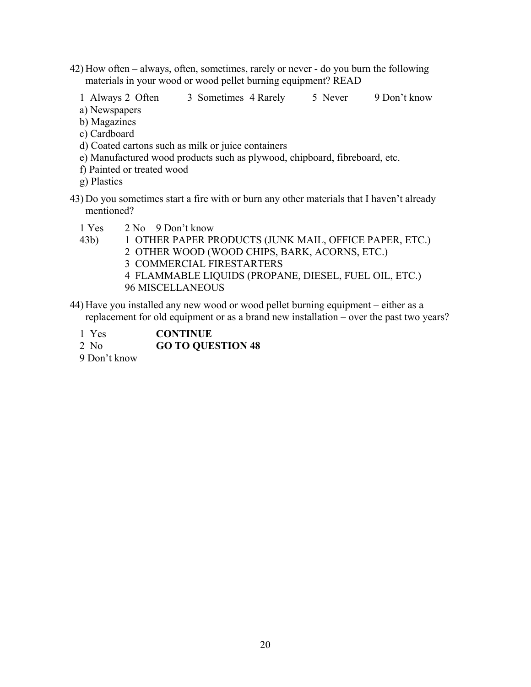- 42) How often always, often, sometimes, rarely or never do you burn the following materials in your wood or wood pellet burning equipment? READ
	- 1 Always 2 Often 3 Sometimes 4 Rarely 5 Never 9 Don't know
	- a) Newspapers
	- b) Magazines
	- c) Cardboard
	- d) Coated cartons such as milk or juice containers
	- e) Manufactured wood products such as plywood, chipboard, fibreboard, etc.
	- f) Painted or treated wood
	- g) Plastics
- 43) Do you sometimes start a fire with or burn any other materials that I haven't already mentioned?
	- 1 Yes 2 No 9 Don't know
	- 43b) 1 OTHER PAPER PRODUCTS (JUNK MAIL, OFFICE PAPER, ETC.)
		- 2 OTHER WOOD (WOOD CHIPS, BARK, ACORNS, ETC.)
			- 3 COMMERCIAL FIRESTARTERS
			- 4 FLAMMABLE LIQUIDS (PROPANE, DIESEL, FUEL OIL, ETC.) 96 MISCELLANEOUS
- 44) Have you installed any new wood or wood pellet burning equipment either as a replacement for old equipment or as a brand new installation – over the past two years?
	- 1 Yes **CONTINUE**
	- 2 No **GO TO QUESTION 48**
	- 9 Don't know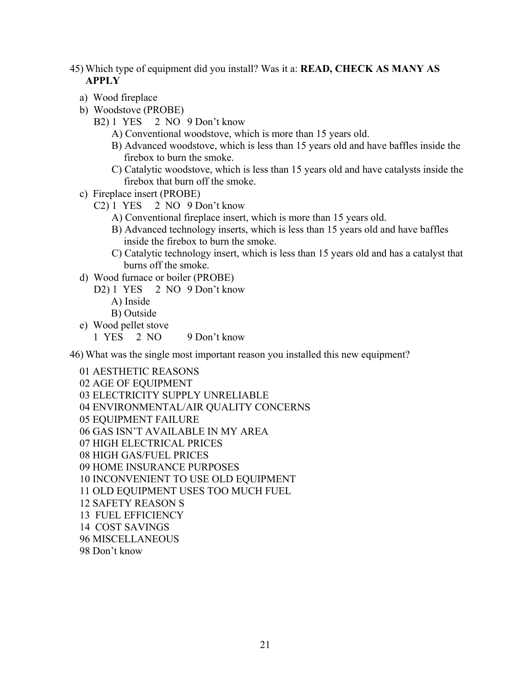- 45) Which type of equipment did you install? Was it a: **READ, CHECK AS MANY AS APPLY**
	- a) Wood fireplace
	- b) Woodstove (PROBE)
		- B2) 1 YES 2 NO 9 Don't know
			- A) Conventional woodstove, which is more than 15 years old.
			- B) Advanced woodstove, which is less than 15 years old and have baffles inside the firebox to burn the smoke.
			- C) Catalytic woodstove, which is less than 15 years old and have catalysts inside the firebox that burn off the smoke.
	- c) Fireplace insert (PROBE)
		- C2) 1 YES 2 NO 9 Don't know
			- A) Conventional fireplace insert, which is more than 15 years old.
			- B) Advanced technology inserts, which is less than 15 years old and have baffles inside the firebox to burn the smoke.
			- C) Catalytic technology insert, which is less than 15 years old and has a catalyst that burns off the smoke.
	- d) Wood furnace or boiler (PROBE)
		- D2) 1 YES 2 NO 9 Don't know
			- A) Inside
			- B) Outside

e) Wood pellet stove

1 YES 2 NO 9 Don't know

46) What was the single most important reason you installed this new equipment?

01 AESTHETIC REASONS 02 AGE OF EQUIPMENT 03 ELECTRICITY SUPPLY UNRELIABLE 04 ENVIRONMENTAL/AIR QUALITY CONCERNS 05 EQUIPMENT FAILURE 06 GAS ISN'T AVAILABLE IN MY AREA 07 HIGH ELECTRICAL PRICES 08 HIGH GAS/FUEL PRICES 09 HOME INSURANCE PURPOSES 10 INCONVENIENT TO USE OLD EQUIPMENT 11 OLD EQUIPMENT USES TOO MUCH FUEL 12 SAFETY REASON S 13 FUEL EFFICIENCY 14 COST SAVINGS 96 MISCELLANEOUS 98 Don't know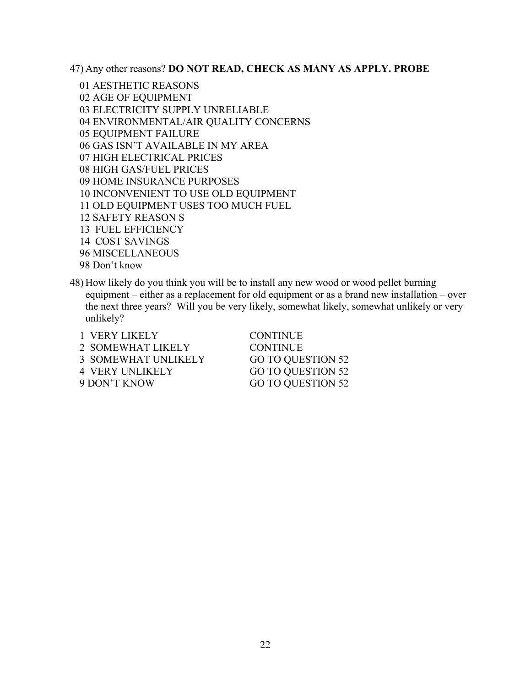47) Any other reasons? **DO NOT READ, CHECK AS MANY AS APPLY. PROBE**

01 AESTHETIC REASONS 02 AGE OF EQUIPMENT 03 ELECTRICITY SUPPLY UNRELIABLE 04 ENVIRONMENTAL/AIR QUALITY CONCERNS 05 EQUIPMENT FAILURE 06 GAS ISN'T AVAILABLE IN MY AREA 07 HIGH ELECTRICAL PRICES 08 HIGH GAS/FUEL PRICES 09 HOME INSURANCE PURPOSES 10 INCONVENIENT TO USE OLD EQUIPMENT 11 OLD EQUIPMENT USES TOO MUCH FUEL 12 SAFETY REASON S 13 FUEL EFFICIENCY 14 COST SAVINGS 96 MISCELLANEOUS 98 Don't know

48) How likely do you think you will be to install any new wood or wood pellet burning equipment – either as a replacement for old equipment or as a brand new installation – over the next three years? Will you be very likely, somewhat likely, somewhat unlikely or very unlikely?

| 1 VERY LIKELY              | <b>CONTINUE</b>   |
|----------------------------|-------------------|
| 2 SOMEWHAT LIKELY          | <b>CONTINUE</b>   |
| <b>3 SOMEWHAT UNLIKELY</b> | GO TO QUESTION 52 |
| <b>4 VERY UNLIKELY</b>     | GO TO QUESTION 52 |
| 9 DON'T KNOW               | GO TO QUESTION 52 |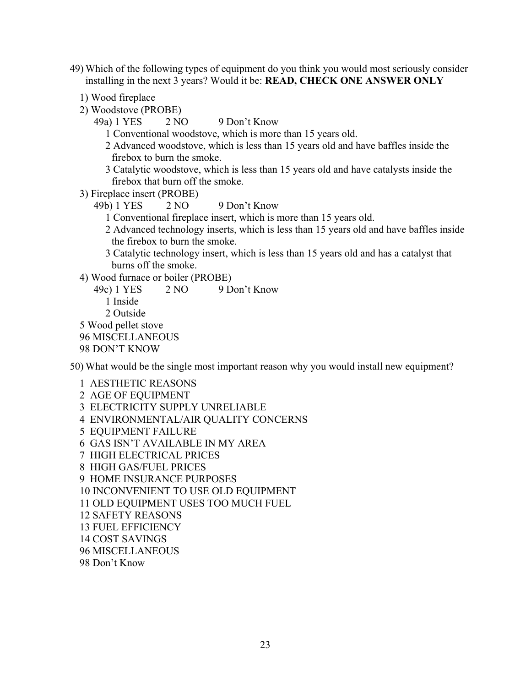- 49) Which of the following types of equipment do you think you would most seriously consider installing in the next 3 years? Would it be: **READ, CHECK ONE ANSWER ONLY**
	- 1) Wood fireplace
	- 2) Woodstove (PROBE)
		- 49a) 1 YES 2 NO 9 Don't Know
			- 1 Conventional woodstove, which is more than 15 years old.
			- 2 Advanced woodstove, which is less than 15 years old and have baffles inside the firebox to burn the smoke.
			- 3 Catalytic woodstove, which is less than 15 years old and have catalysts inside the firebox that burn off the smoke.
	- 3) Fireplace insert (PROBE)

49b) 1 YES 2 NO 9 Don't Know

- 1 Conventional fireplace insert, which is more than 15 years old.
- 2 Advanced technology inserts, which is less than 15 years old and have baffles inside the firebox to burn the smoke.
- 3 Catalytic technology insert, which is less than 15 years old and has a catalyst that burns off the smoke.
- 4) Wood furnace or boiler (PROBE)
- 49c) 1 YES 2 NO 9 Don't Know 1 Inside 2 Outside 5 Wood pellet stove 96 MISCELLANEOUS 98 DON'T KNOW

50) What would be the single most important reason why you would install new equipment?

1 AESTHETIC REASONS 2 AGE OF EQUIPMENT 3 ELECTRICITY SUPPLY UNRELIABLE 4 ENVIRONMENTAL/AIR QUALITY CONCERNS 5 EQUIPMENT FAILURE 6 GAS ISN'T AVAILABLE IN MY AREA 7 HIGH ELECTRICAL PRICES 8 HIGH GAS/FUEL PRICES 9 HOME INSURANCE PURPOSES 10 INCONVENIENT TO USE OLD EQUIPMENT 11 OLD EQUIPMENT USES TOO MUCH FUEL 12 SAFETY REASONS 13 FUEL EFFICIENCY 14 COST SAVINGS 96 MISCELLANEOUS 98 Don't Know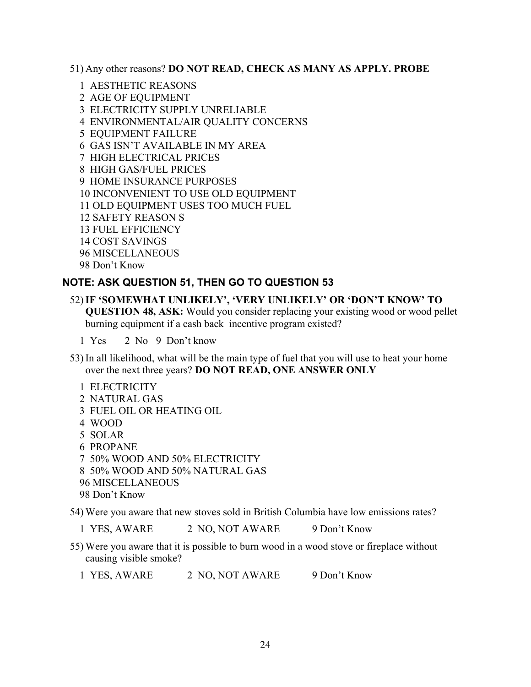51) Any other reasons? **DO NOT READ, CHECK AS MANY AS APPLY. PROBE**

- 1 AESTHETIC REASONS
- 2 AGE OF EQUIPMENT
- 3 ELECTRICITY SUPPLY UNRELIABLE
- 4 ENVIRONMENTAL/AIR QUALITY CONCERNS
- 5 EQUIPMENT FAILURE
- 6 GAS ISN'T AVAILABLE IN MY AREA
- 7 HIGH ELECTRICAL PRICES
- 8 HIGH GAS/FUEL PRICES
- 9 HOME INSURANCE PURPOSES
- 10 INCONVENIENT TO USE OLD EQUIPMENT
- 11 OLD EQUIPMENT USES TOO MUCH FUEL
- 12 SAFETY REASON S
- 13 FUEL EFFICIENCY
- 14 COST SAVINGS
- 96 MISCELLANEOUS
- 98 Don't Know

#### **NOTE: ASK QUESTION 51, THEN GO TO QUESTION 53**

#### 52)**IF 'SOMEWHAT UNLIKELY', 'VERY UNLIKELY' OR 'DON'T KNOW' TO QUESTION 48, ASK:** Would you consider replacing your existing wood or wood pellet burning equipment if a cash back incentive program existed?

1 Yes 2 No 9 Don't know

- 53) In all likelihood, what will be the main type of fuel that you will use to heat your home over the next three years? **DO NOT READ, ONE ANSWER ONLY**
	- 1 ELECTRICITY
	- 2 NATURAL GAS
	- 3 FUEL OIL OR HEATING OIL
	- 4 WOOD
	- 5 SOLAR
	- 6 PROPANE
	- 7 50% WOOD AND 50% ELECTRICITY
	- 8 50% WOOD AND 50% NATURAL GAS
	- 96 MISCELLANEOUS
	- 98 Don't Know

54) Were you aware that new stoves sold in British Columbia have low emissions rates?

1 YES, AWARE 2 NO, NOT AWARE 9 Don't Know

55) Were you aware that it is possible to burn wood in a wood stove or fireplace without causing visible smoke?

1 YES, AWARE 2 NO, NOT AWARE 9 Don't Know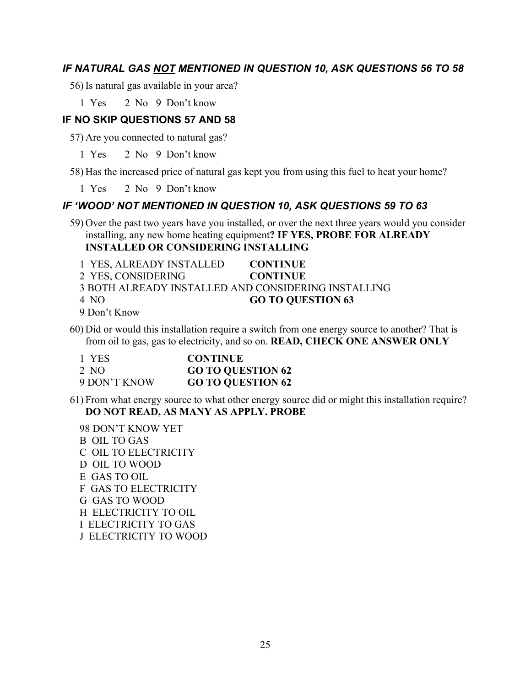#### *IF NATURAL GAS NOT MENTIONED IN QUESTION 10, ASK QUESTIONS 56 TO 58*

56)Is natural gas available in your area?

1 Yes 2 No 9 Don't know

#### **IF NO SKIP QUESTIONS 57 AND 58**

57) Are you connected to natural gas?

1 Yes 2 No 9 Don't know

58) Has the increased price of natural gas kept you from using this fuel to heat your home?

1 Yes 2 No 9 Don't know

#### *IF 'WOOD' NOT MENTIONED IN QUESTION 10, ASK QUESTIONS 59 TO 63*

59) Over the past two years have you installed, or over the next three years would you consider installing, any new home heating equipment**? IF YES, PROBE FOR ALREADY INSTALLED OR CONSIDERING INSTALLING**

- 1 YES, ALREADY INSTALLED **CONTINUE**
- 2 YES, CONSIDERING **CONTINUE**

3 BOTH ALREADY INSTALLED AND CONSIDERING INSTALLING

4 NO **GO TO QUESTION 63**

9 Don't Know

60) Did or would this installation require a switch from one energy source to another? That is from oil to gas, gas to electricity, and so on. **READ, CHECK ONE ANSWER ONLY**

| 1 YES        | <b>CONTINUE</b>          |
|--------------|--------------------------|
| 2 NO         | <b>GO TO QUESTION 62</b> |
| 9 DON'T KNOW | <b>GO TO QUESTION 62</b> |

- 61) From what energy source to what other energy source did or might this installation require? **DO NOT READ, AS MANY AS APPLY. PROBE**
	- 98 DON'T KNOW YET B OIL TO GAS C OIL TO ELECTRICITY D OIL TO WOOD E GAS TO OIL F GAS TO ELECTRICITY G GAS TO WOOD H ELECTRICITY TO OIL I ELECTRICITY TO GAS J ELECTRICITY TO WOOD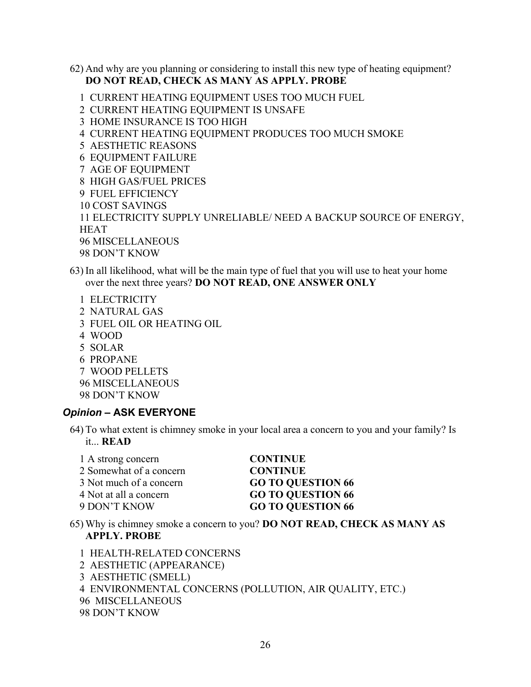62) And why are you planning or considering to install this new type of heating equipment? **DO NOT READ, CHECK AS MANY AS APPLY. PROBE**

1 CURRENT HEATING EQUIPMENT USES TOO MUCH FUEL

2 CURRENT HEATING EQUIPMENT IS UNSAFE

3 HOME INSURANCE IS TOO HIGH

4 CURRENT HEATING EQUIPMENT PRODUCES TOO MUCH SMOKE

5 AESTHETIC REASONS

6 EQUIPMENT FAILURE

7 AGE OF EQUIPMENT

8 HIGH GAS/FUEL PRICES

- 9 FUEL EFFICIENCY
- 10 COST SAVINGS

11 ELECTRICITY SUPPLY UNRELIABLE/ NEED A BACKUP SOURCE OF ENERGY, **HEAT** 96 MISCELLANEOUS

98 DON'T KNOW

- 63) In all likelihood, what will be the main type of fuel that you will use to heat your home over the next three years? **DO NOT READ, ONE ANSWER ONLY**
	- 1 ELECTRICITY 2 NATURAL GAS 3 FUEL OIL OR HEATING OIL 4 WOOD 5 SOLAR 6 PROPANE 7 WOOD PELLETS 96 MISCELLANEOUS 98 DON'T KNOW

#### *Opinion* **– ASK EVERYONE**

64) To what extent is chimney smoke in your local area a concern to you and your family? Is it... **READ**

| 1 A strong concern      | <b>CONTINUE</b>          |
|-------------------------|--------------------------|
| 2 Somewhat of a concern | <b>CONTINUE</b>          |
| 3 Not much of a concern | <b>GO TO QUESTION 66</b> |
| 4 Not at all a concern  | <b>GO TO QUESTION 66</b> |
| 9 DON'T KNOW            | <b>GO TO QUESTION 66</b> |
|                         |                          |

- 65) Why is chimney smoke a concern to you? **DO NOT READ, CHECK AS MANY AS APPLY. PROBE**
	- 1 HEALTH-RELATED CONCERNS
	- 2 AESTHETIC (APPEARANCE)
	- 3 AESTHETIC (SMELL)

4 ENVIRONMENTAL CONCERNS (POLLUTION, AIR QUALITY, ETC.)

- 96 MISCELLANEOUS
- 98 DON'T KNOW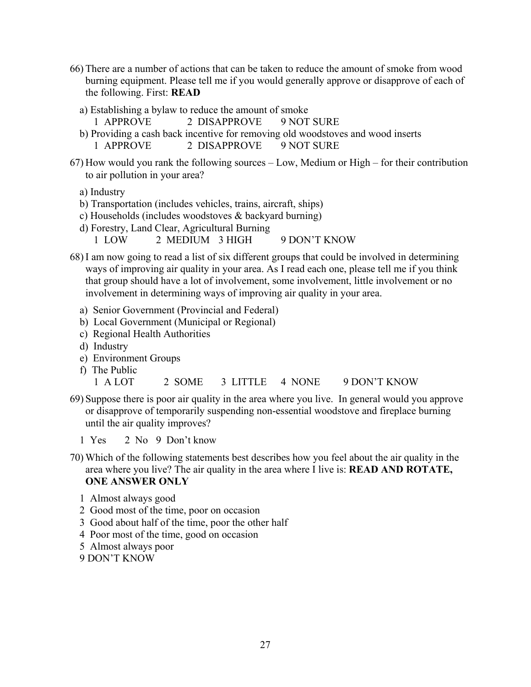- 66) There are a number of actions that can be taken to reduce the amount of smoke from wood burning equipment. Please tell me if you would generally approve or disapprove of each of the following. First: **READ**
	- a) Establishing a bylaw to reduce the amount of smoke
		- 1 APPROVE 2 DISAPPROVE 9 NOT SURE
	- b) Providing a cash back incentive for removing old woodstoves and wood inserts 1 APPROVE 2 DISAPPROVE 9 NOT SURE
- 67) How would you rank the following sources Low, Medium or High for their contribution to air pollution in your area?

a) Industry

- b) Transportation (includes vehicles, trains, aircraft, ships)
- c) Households (includes woodstoves & backyard burning)
- d) Forestry, Land Clear, Agricultural Burning 1 LOW 2 MEDIUM 3 HIGH 9 DON'T KNOW
- 68)I am now going to read a list of six different groups that could be involved in determining ways of improving air quality in your area. As I read each one, please tell me if you think that group should have a lot of involvement, some involvement, little involvement or no involvement in determining ways of improving air quality in your area.
	- a) Senior Government (Provincial and Federal)
	- b) Local Government (Municipal or Regional)
	- c) Regional Health Authorities
	- d) Industry
	- e) Environment Groups
	- f) The Public
		- 1 A LOT 2 SOME 3 LITTLE 4 NONE 9 DON'T KNOW
- 69) Suppose there is poor air quality in the area where you live. In general would you approve or disapprove of temporarily suspending non-essential woodstove and fireplace burning until the air quality improves?
	- 1 Yes 2 No 9 Don't know
- 70) Which of the following statements best describes how you feel about the air quality in the area where you live? The air quality in the area where I live is: **READ AND ROTATE, ONE ANSWER ONLY**
	- 1 Almost always good
	- 2 Good most of the time, poor on occasion
	- 3 Good about half of the time, poor the other half
	- 4 Poor most of the time, good on occasion
	- 5 Almost always poor
	- 9 DON'T KNOW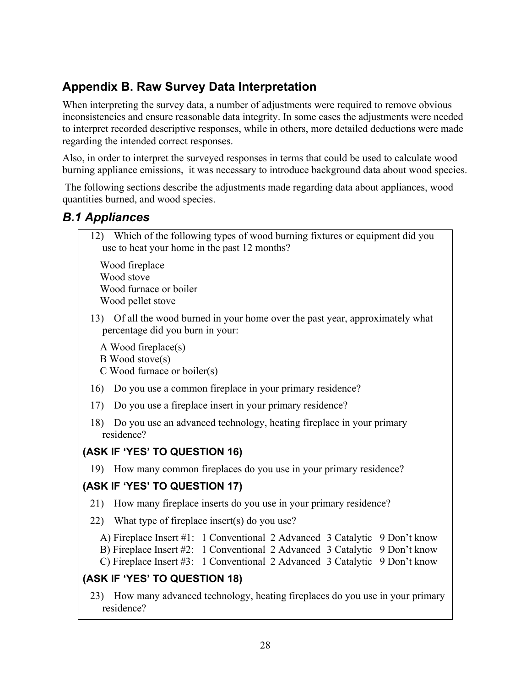### **Appendix B. Raw Survey Data Interpretation**

When interpreting the survey data, a number of adjustments were required to remove obvious inconsistencies and ensure reasonable data integrity. In some cases the adjustments were needed to interpret recorded descriptive responses, while in others, more detailed deductions were made regarding the intended correct responses.

Also, in order to interpret the surveyed responses in terms that could be used to calculate wood burning appliance emissions, it was necessary to introduce background data about wood species.

 The following sections describe the adjustments made regarding data about appliances, wood quantities burned, and wood species.

### *B.1 Appliances*

12) Which of the following types of wood burning fixtures or equipment did you use to heat your home in the past 12 months?

Wood fireplace Wood stove Wood furnace or boiler Wood pellet stove

13) Of all the wood burned in your home over the past year, approximately what percentage did you burn in your:

A Wood fireplace(s) B Wood stove(s) C Wood furnace or boiler(s)

- 16) Do you use a common fireplace in your primary residence?
- 17) Do you use a fireplace insert in your primary residence?
- 18) Do you use an advanced technology, heating fireplace in your primary residence?

### **(ASK IF 'YES' TO QUESTION 16)**

19) How many common fireplaces do you use in your primary residence?

### **(ASK IF 'YES' TO QUESTION 17)**

- 21) How many fireplace inserts do you use in your primary residence?
- 22) What type of fireplace insert(s) do you use?
	- A) Fireplace Insert #1: 1 Conventional 2 Advanced 3 Catalytic 9 Don't know
	- B) Fireplace Insert #2: 1 Conventional 2 Advanced 3 Catalytic 9 Don't know
	- C) Fireplace Insert #3: 1 Conventional 2 Advanced 3 Catalytic 9 Don't know

#### **(ASK IF 'YES' TO QUESTION 18)**

23) How many advanced technology, heating fireplaces do you use in your primary residence?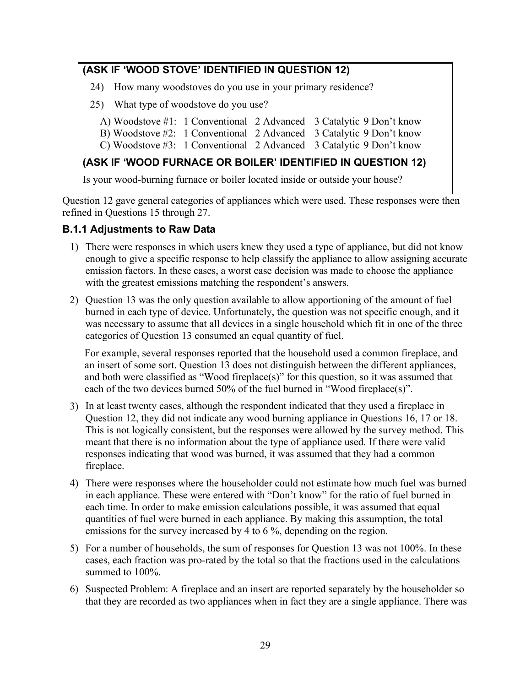### **(ASK IF 'WOOD STOVE' IDENTIFIED IN QUESTION 12)**

- 24) How many woodstoves do you use in your primary residence?
- 25) What type of woodstove do you use?
	- A) Woodstove #1: 1 Conventional 2 Advanced 3 Catalytic 9 Don't know
	- B) Woodstove #2: 1 Conventional 2 Advanced 3 Catalytic 9 Don't know
	- C) Woodstove #3: 1 Conventional 2 Advanced 3 Catalytic 9 Don't know

#### **(ASK IF 'WOOD FURNACE OR BOILER' IDENTIFIED IN QUESTION 12)**

Is your wood-burning furnace or boiler located inside or outside your house?

Question 12 gave general categories of appliances which were used. These responses were then refined in Questions 15 through 27.

#### **B.1.1 Adjustments to Raw Data**

- 1) There were responses in which users knew they used a type of appliance, but did not know enough to give a specific response to help classify the appliance to allow assigning accurate emission factors. In these cases, a worst case decision was made to choose the appliance with the greatest emissions matching the respondent's answers.
- 2) Question 13 was the only question available to allow apportioning of the amount of fuel burned in each type of device. Unfortunately, the question was not specific enough, and it was necessary to assume that all devices in a single household which fit in one of the three categories of Question 13 consumed an equal quantity of fuel.

For example, several responses reported that the household used a common fireplace, and an insert of some sort. Question 13 does not distinguish between the different appliances, and both were classified as "Wood fireplace(s)" for this question, so it was assumed that each of the two devices burned 50% of the fuel burned in "Wood fireplace(s)".

- 3) In at least twenty cases, although the respondent indicated that they used a fireplace in Question 12, they did not indicate any wood burning appliance in Questions 16, 17 or 18. This is not logically consistent, but the responses were allowed by the survey method. This meant that there is no information about the type of appliance used. If there were valid responses indicating that wood was burned, it was assumed that they had a common fireplace.
- 4) There were responses where the householder could not estimate how much fuel was burned in each appliance. These were entered with "Don't know" for the ratio of fuel burned in each time. In order to make emission calculations possible, it was assumed that equal quantities of fuel were burned in each appliance. By making this assumption, the total emissions for the survey increased by 4 to 6 %, depending on the region.
- 5) For a number of households, the sum of responses for Question 13 was not 100%. In these cases, each fraction was pro-rated by the total so that the fractions used in the calculations summed to  $100\%$ .
- 6) Suspected Problem: A fireplace and an insert are reported separately by the householder so that they are recorded as two appliances when in fact they are a single appliance. There was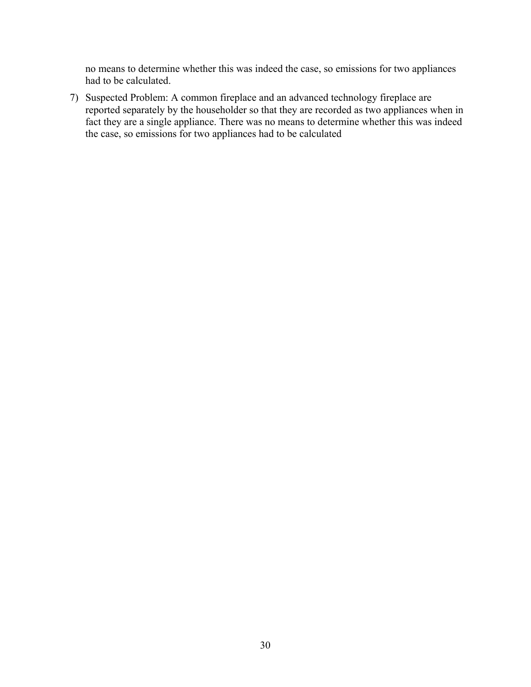no means to determine whether this was indeed the case, so emissions for two appliances had to be calculated.

7) Suspected Problem: A common fireplace and an advanced technology fireplace are reported separately by the householder so that they are recorded as two appliances when in fact they are a single appliance. There was no means to determine whether this was indeed the case, so emissions for two appliances had to be calculated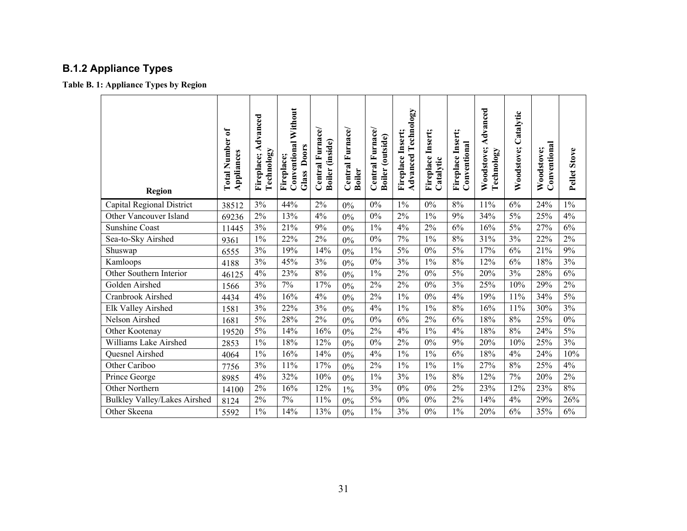## **B.1.2 Appliance Types**

**Table B. 1: Appliance Types by Region** 

| <b>Region</b>                       | <b>Total Number of</b><br>Appliances | Fireplace; Advanced<br>Technology | <b>Conventional Without</b><br>Glass Doors<br>Fireplace; | Central Furnace/<br>Boiler (inside) | Central Furnace/<br><b>Boiler</b> | Central Furnace/<br>Boiler (outside) | <b>Advanced Technology</b><br>Fireplace Insert; | Insert;<br>Fireplace<br>Catalytic | Insert;<br>Conventional<br>Fireplace | Advanced<br>Woodstove;<br>Technology | Woodstove; Catalytic | Conventional<br>Woodstove; | Pellet Stove |
|-------------------------------------|--------------------------------------|-----------------------------------|----------------------------------------------------------|-------------------------------------|-----------------------------------|--------------------------------------|-------------------------------------------------|-----------------------------------|--------------------------------------|--------------------------------------|----------------------|----------------------------|--------------|
| Capital Regional District           | 38512                                | 3%                                | 44%                                                      | 2%                                  | 0%                                | $0\%$                                | $1\%$                                           | 0%                                | 8%                                   | 11%                                  | 6%                   | 24%                        | $1\%$        |
| Other Vancouver Island              | 69236                                | $2\%$                             | 13%                                                      | 4%                                  | $0\%$                             | $0\%$                                | 2%                                              | $1\%$                             | 9%                                   | 34%                                  | 5%                   | 25%                        | 4%           |
| <b>Sunshine Coast</b>               | 11445                                | 3%                                | 21%                                                      | 9%                                  | 0%                                | $1\%$                                | 4%                                              | 2%                                | 6%                                   | 16%                                  | 5%                   | 27%                        | 6%           |
| Sea-to-Sky Airshed                  | 9361                                 | $1\%$                             | 22%                                                      | 2%                                  | $0\%$                             | $\overline{0\%}$                     | 7%                                              | 1%                                | 8%                                   | 31%                                  | 3%                   | 22%                        | 2%           |
| Shuswap                             | 6555                                 | 3%                                | 19%                                                      | 14%                                 | 0%                                | $1\%$                                | 5%                                              | $0\%$                             | $5\%$                                | 17%                                  | 6%                   | 21%                        | 9%           |
| Kamloops                            | 4188                                 | 3%                                | 45%                                                      | 3%                                  | 0%                                | $0\%$                                | 3%                                              | $1\%$                             | 8%                                   | 12%                                  | 6%                   | 18%                        | 3%           |
| Other Southern Interior             | 46125                                | 4%                                | 23%                                                      | 8%                                  | $0\%$                             | $1\%$                                | 2%                                              | 0%                                | 5%                                   | 20%                                  | 3%                   | 28%                        | 6%           |
| Golden Airshed                      | 1566                                 | 3%                                | 7%                                                       | 17%                                 | 0%                                | 2%                                   | 2%                                              | $0\%$                             | 3%                                   | 25%                                  | $10\%$               | 29%                        | 2%           |
| Cranbrook Airshed                   | 4434                                 | 4%                                | 16%                                                      | 4%                                  | 0%                                | $2\%$                                | $1\%$                                           | $0\%$                             | 4%                                   | 19%                                  | 11%                  | 34%                        | 5%           |
| Elk Valley Airshed                  | 1581                                 | 3%                                | 22%                                                      | 3%                                  | 0%                                | 4%                                   | $1\%$                                           | 1%                                | 8%                                   | 16%                                  | 11%                  | 30%                        | 3%           |
| Nelson Airshed                      | 1681                                 | 5%                                | 28%                                                      | 2%                                  | 0%                                | $0\%$                                | 6%                                              | $2\%$                             | 6%                                   | 18%                                  | 8%                   | 25%                        | $0\%$        |
| Other Kootenay                      | 19520                                | $5\%$                             | 14%                                                      | 16%                                 | $0\%$                             | $2\%$                                | 4%                                              | $1\%$                             | 4%                                   | 18%                                  | 8%                   | 24%                        | 5%           |
| Williams Lake Airshed               | 2853                                 | $1\%$                             | 18%                                                      | 12%                                 | 0%                                | $0\%$                                | 2%                                              | $0\%$                             | 9%                                   | 20%                                  | 10%                  | 25%                        | 3%           |
| Quesnel Airshed                     | 4064                                 | $1\%$                             | 16%                                                      | 14%                                 | 0%                                | 4%                                   | $1\%$                                           | 1%                                | 6%                                   | 18%                                  | 4%                   | 24%                        | 10%          |
| Other Cariboo                       | 7756                                 | $3\%$                             | 11%                                                      | 17%                                 | $0\%$                             | $2\%$                                | $1\%$                                           | $1\%$                             | $1\%$                                | 27%                                  | $8\%$                | 25%                        | 4%           |
| Prince George                       | 8985                                 | 4%                                | 32%                                                      | 10%                                 | 0%                                | $1\%$                                | 3%                                              | $1\%$                             | 8%                                   | 12%                                  | 7%                   | 20%                        | 2%           |
| Other Northern                      | 14100                                | 2%                                | 16%                                                      | 12%                                 | $1\%$                             | $3\%$                                | 0%                                              | 0%                                | 2%                                   | 23%                                  | 12%                  | 23%                        | 8%           |
| <b>Bulkley Valley/Lakes Airshed</b> | 8124                                 | 2%                                | $7\%$                                                    | 11%                                 | 0%                                | 5%                                   | 0%                                              | 0%                                | $2\%$                                | 14%                                  | $4\%$                | 29%                        | 26%          |
| Other Skeena                        | 5592                                 | $1\%$                             | 14%                                                      | 13%                                 | 0%                                | $1\%$                                | 3%                                              | 0%                                | $1\%$                                | 20%                                  | 6%                   | 35%                        | 6%           |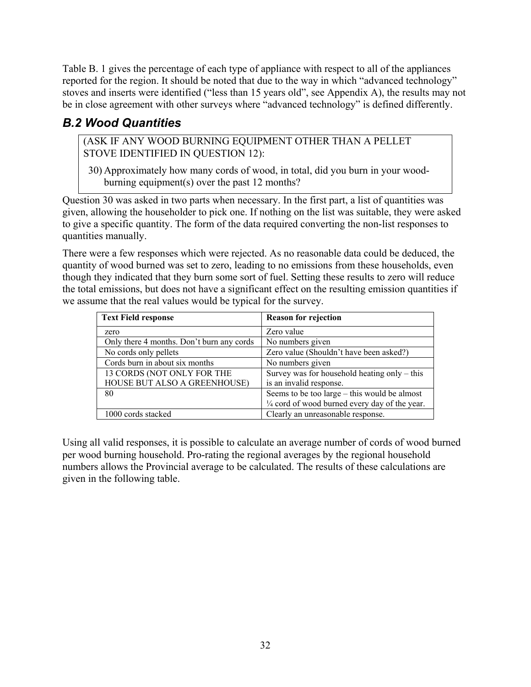Table B. 1 gives the percentage of each type of appliance with respect to all of the appliances reported for the region. It should be noted that due to the way in which "advanced technology" stoves and inserts were identified ("less than 15 years old", see Appendix A), the results may not be in close agreement with other surveys where "advanced technology" is defined differently.

### *B.2 Wood Quantities*

(ASK IF ANY WOOD BURNING EQUIPMENT OTHER THAN A PELLET STOVE IDENTIFIED IN QUESTION 12):

30) Approximately how many cords of wood, in total, did you burn in your woodburning equipment(s) over the past 12 months?

Question 30 was asked in two parts when necessary. In the first part, a list of quantities was given, allowing the householder to pick one. If nothing on the list was suitable, they were asked to give a specific quantity. The form of the data required converting the non-list responses to quantities manually.

There were a few responses which were rejected. As no reasonable data could be deduced, the quantity of wood burned was set to zero, leading to no emissions from these households, even though they indicated that they burn some sort of fuel. Setting these results to zero will reduce the total emissions, but does not have a significant effect on the resulting emission quantities if we assume that the real values would be typical for the survey.

| <b>Text Field response</b>                | <b>Reason for rejection</b>                              |
|-------------------------------------------|----------------------------------------------------------|
| zero                                      | Zero value                                               |
| Only there 4 months. Don't burn any cords | No numbers given                                         |
| No cords only pellets                     | Zero value (Shouldn't have been asked?)                  |
| Cords burn in about six months            | No numbers given                                         |
| 13 CORDS (NOT ONLY FOR THE                | Survey was for household heating only $-$ this           |
| HOUSE BUT ALSO A GREENHOUSE)              | is an invalid response.                                  |
| 80                                        | Seems to be too large – this would be almost             |
|                                           | $\frac{1}{4}$ cord of wood burned every day of the year. |
| 1000 cords stacked                        | Clearly an unreasonable response.                        |

Using all valid responses, it is possible to calculate an average number of cords of wood burned per wood burning household. Pro-rating the regional averages by the regional household numbers allows the Provincial average to be calculated. The results of these calculations are given in the following table.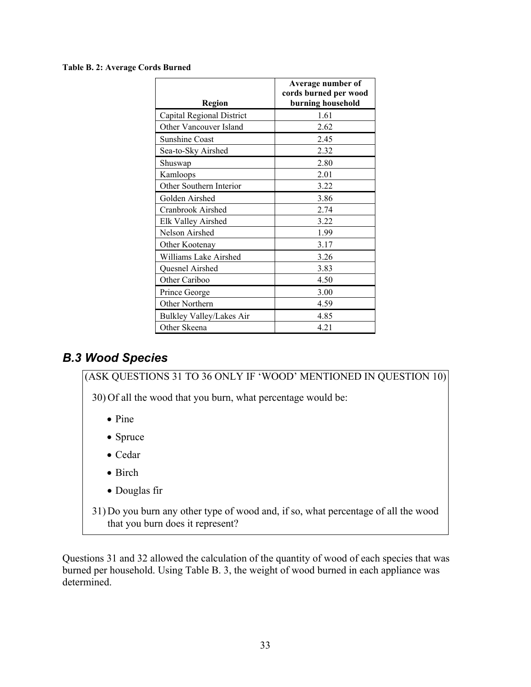#### **Table B. 2: Average Cords Burned**

| Region                          | Average number of<br>cords burned per wood<br>burning household |
|---------------------------------|-----------------------------------------------------------------|
| Capital Regional District       | 1.61                                                            |
| Other Vancouver Island          | 2.62                                                            |
| <b>Sunshine Coast</b>           | 2.45                                                            |
| Sea-to-Sky Airshed              | 2.32                                                            |
| Shuswap                         | 2.80                                                            |
| Kamloops                        | 2.01                                                            |
| Other Southern Interior         | 3.22                                                            |
| Golden Airshed                  | 3.86                                                            |
| Cranbrook Airshed               | 2.74                                                            |
| Elk Valley Airshed              | 3.22                                                            |
| Nelson Airshed                  | 1.99                                                            |
| Other Kootenay                  | 3.17                                                            |
| Williams Lake Airshed           | 3.26                                                            |
| Quesnel Airshed                 | 3.83                                                            |
| Other Cariboo                   | 4.50                                                            |
| Prince George                   | 3.00                                                            |
| Other Northern                  | 4.59                                                            |
| <b>Bulkley Valley/Lakes Air</b> | 4.85                                                            |
| Other Skeena                    | 4.21                                                            |

### *B.3 Wood Species*

(ASK QUESTIONS 31 TO 36 ONLY IF 'WOOD' MENTIONED IN QUESTION 10)

30) Of all the wood that you burn, what percentage would be:

- Pine
- Spruce
- Cedar
- Birch
- Douglas fir

31) Do you burn any other type of wood and, if so, what percentage of all the wood that you burn does it represent?

Questions 31 and 32 allowed the calculation of the quantity of wood of each species that was burned per household. Using Table B. 3, the weight of wood burned in each appliance was determined.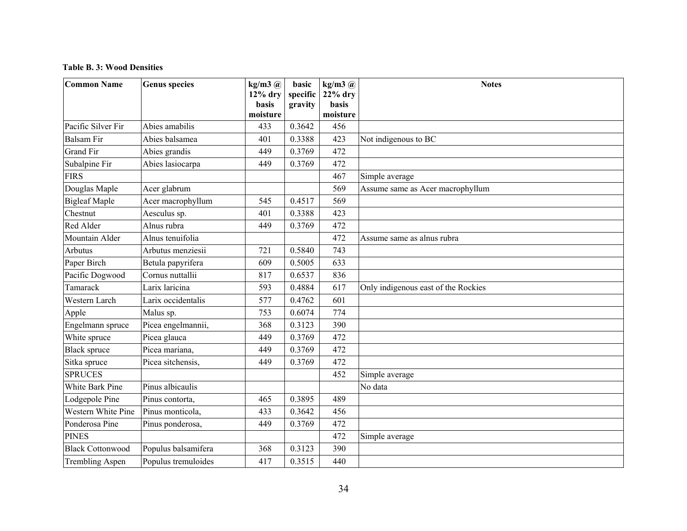#### **Table B. 3: Wood Densities**

| <b>Common Name</b>      | <b>Genus species</b> | $kg/m3$ $@$<br>$12\%$ dry | basic<br>specific | $kg/m3$ $@$<br>$22%$ dry | <b>Notes</b>                        |
|-------------------------|----------------------|---------------------------|-------------------|--------------------------|-------------------------------------|
|                         |                      | <b>basis</b>              | gravity           | basis                    |                                     |
|                         |                      | moisture                  |                   | moisture                 |                                     |
| Pacific Silver Fir      | Abies amabilis       | 433                       | 0.3642            | 456                      |                                     |
| <b>Balsam Fir</b>       | Abies balsamea       | 401                       | 0.3388            | 423                      | Not indigenous to BC                |
| <b>Grand Fir</b>        | Abies grandis        | 449                       | 0.3769            | 472                      |                                     |
| Subalpine Fir           | Abies lasiocarpa     | 449                       | 0.3769            | 472                      |                                     |
| <b>FIRS</b>             |                      |                           |                   | 467                      | Simple average                      |
| Douglas Maple           | Acer glabrum         |                           |                   | 569                      | Assume same as Acer macrophyllum    |
| <b>Bigleaf Maple</b>    | Acer macrophyllum    | 545                       | 0.4517            | 569                      |                                     |
| Chestnut                | Aesculus sp.         | 401                       | 0.3388            | 423                      |                                     |
| Red Alder               | Alnus rubra          | 449                       | 0.3769            | 472                      |                                     |
| Mountain Alder          | Alnus tenuifolia     |                           |                   | 472                      | Assume same as alnus rubra          |
| Arbutus                 | Arbutus menziesii    | 721                       | 0.5840            | 743                      |                                     |
| Paper Birch             | Betula papyrifera    | 609                       | 0.5005            | 633                      |                                     |
| Pacific Dogwood         | Cornus nuttallii     | 817                       | 0.6537            | 836                      |                                     |
| Tamarack                | Larix laricina       | 593                       | 0.4884            | 617                      | Only indigenous east of the Rockies |
| Western Larch           | Larix occidentalis   | 577                       | 0.4762            | 601                      |                                     |
| Apple                   | Malus sp.            | 753                       | 0.6074            | 774                      |                                     |
| Engelmann spruce        | Picea engelmannii,   | 368                       | 0.3123            | 390                      |                                     |
| White spruce            | Picea glauca         | 449                       | 0.3769            | 472                      |                                     |
| <b>Black spruce</b>     | Picea mariana,       | 449                       | 0.3769            | 472                      |                                     |
| Sitka spruce            | Picea sitchensis,    | 449                       | 0.3769            | 472                      |                                     |
| <b>SPRUCES</b>          |                      |                           |                   | 452                      | Simple average                      |
| <b>White Bark Pine</b>  | Pinus albicaulis     |                           |                   |                          | No data                             |
| Lodgepole Pine          | Pinus contorta,      | 465                       | 0.3895            | 489                      |                                     |
| Western White Pine      | Pinus monticola,     | 433                       | 0.3642            | 456                      |                                     |
| Ponderosa Pine          | Pinus ponderosa,     | 449                       | 0.3769            | 472                      |                                     |
| <b>PINES</b>            |                      |                           |                   | 472                      | Simple average                      |
| <b>Black Cottonwood</b> | Populus balsamifera  | 368                       | 0.3123            | 390                      |                                     |
| <b>Trembling Aspen</b>  | Populus tremuloides  | 417                       | 0.3515            | 440                      |                                     |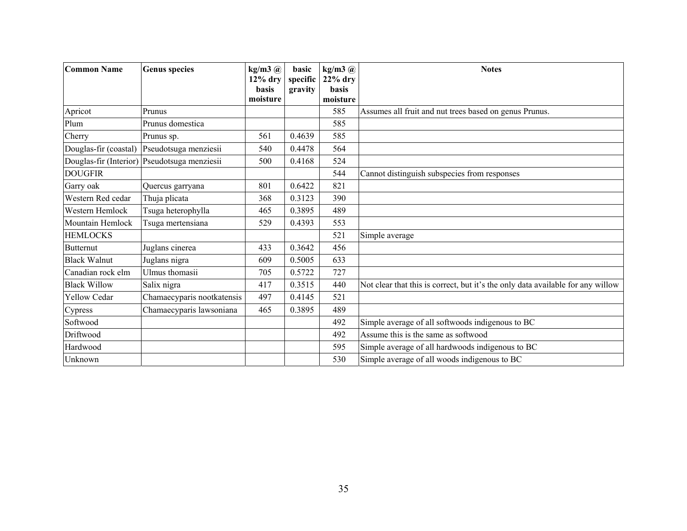| <b>Common Name</b>    | <b>Genus species</b>                         | $kg/m3$ $@$<br>$12\%$ dry | basic<br>specific | $kg/m3$ $@$<br>$22%$ dry | <b>Notes</b>                                                                    |
|-----------------------|----------------------------------------------|---------------------------|-------------------|--------------------------|---------------------------------------------------------------------------------|
|                       |                                              | <b>basis</b>              | gravity           | basis                    |                                                                                 |
|                       |                                              | moisture                  |                   | moisture                 |                                                                                 |
| Apricot               | Prunus                                       |                           |                   | 585                      | Assumes all fruit and nut trees based on genus Prunus.                          |
| Plum                  | Prunus domestica                             |                           |                   | 585                      |                                                                                 |
| Cherry                | Prunus sp.                                   | 561                       | 0.4639            | 585                      |                                                                                 |
| Douglas-fir (coastal) | Pseudotsuga menziesii                        | 540                       | 0.4478            | 564                      |                                                                                 |
|                       | Douglas-fir (Interior) Pseudotsuga menziesii | 500                       | 0.4168            | 524                      |                                                                                 |
| <b>DOUGFIR</b>        |                                              |                           |                   | 544                      | Cannot distinguish subspecies from responses                                    |
| Garry oak             | Quercus garryana                             | 801                       | 0.6422            | 821                      |                                                                                 |
| Western Red cedar     | Thuja plicata                                | 368                       | 0.3123            | 390                      |                                                                                 |
| Western Hemlock       | Tsuga heterophylla                           | 465                       | 0.3895            | 489                      |                                                                                 |
| Mountain Hemlock      | Tsuga mertensiana                            | 529                       | 0.4393            | 553                      |                                                                                 |
| <b>HEMLOCKS</b>       |                                              |                           |                   | 521                      | Simple average                                                                  |
| <b>Butternut</b>      | Juglans cinerea                              | 433                       | 0.3642            | 456                      |                                                                                 |
| <b>Black Walnut</b>   | Juglans nigra                                | 609                       | 0.5005            | 633                      |                                                                                 |
| Canadian rock elm     | Ulmus thomasii                               | 705                       | 0.5722            | 727                      |                                                                                 |
| <b>Black Willow</b>   | Salix nigra                                  | 417                       | 0.3515            | 440                      | Not clear that this is correct, but it's the only data available for any willow |
| <b>Yellow Cedar</b>   | Chamaecyparis nootkatensis                   | 497                       | 0.4145            | 521                      |                                                                                 |
| Cypress               | Chamaecyparis lawsoniana                     | 465                       | 0.3895            | 489                      |                                                                                 |
| Softwood              |                                              |                           |                   | 492                      | Simple average of all softwoods indigenous to BC                                |
| Driftwood             |                                              |                           |                   | 492                      | Assume this is the same as softwood                                             |
| Hardwood              |                                              |                           |                   | 595                      | Simple average of all hardwoods indigenous to BC                                |
| Unknown               |                                              |                           |                   | 530                      | Simple average of all woods indigenous to BC                                    |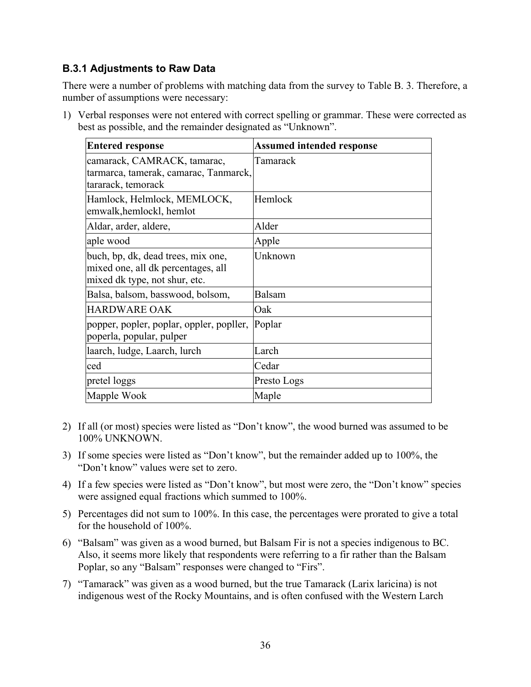#### **B.3.1 Adjustments to Raw Data**

There were a number of problems with matching data from the survey to Table B. 3. Therefore, a number of assumptions were necessary:

1) Verbal responses were not entered with correct spelling or grammar. These were corrected as best as possible, and the remainder designated as "Unknown".

| <b>Entered response</b>                                                                                   | <b>Assumed intended response</b> |
|-----------------------------------------------------------------------------------------------------------|----------------------------------|
| camarack, CAMRACK, tamarac,<br>tarmarca, tamerak, camarac, Tanmarck,<br>tararack, temorack                | Tamarack                         |
| Hamlock, Helmlock, MEMLOCK,<br>emwalk, hemlockl, hemlot                                                   | Hemlock                          |
| Aldar, arder, aldere,                                                                                     | Alder                            |
| aple wood                                                                                                 | Apple                            |
| buch, bp, dk, dead trees, mix one,<br>mixed one, all dk percentages, all<br>mixed dk type, not shur, etc. | Unknown                          |
| Balsa, balsom, basswood, bolsom,                                                                          | Balsam                           |
| <b>HARDWARE OAK</b>                                                                                       | Oak                              |
| popper, popler, poplar, oppler, popller,<br>poperla, popular, pulper                                      | Poplar                           |
| laarch, ludge, Laarch, lurch                                                                              | Larch                            |
| ced                                                                                                       | Cedar                            |
| pretel loggs                                                                                              | Presto Logs                      |
| Mapple Wook                                                                                               | Maple                            |

- 2) If all (or most) species were listed as "Don't know", the wood burned was assumed to be 100% UNKNOWN.
- 3) If some species were listed as "Don't know", but the remainder added up to 100%, the "Don't know" values were set to zero.
- 4) If a few species were listed as "Don't know", but most were zero, the "Don't know" species were assigned equal fractions which summed to 100%.
- 5) Percentages did not sum to 100%. In this case, the percentages were prorated to give a total for the household of 100%.
- 6) "Balsam" was given as a wood burned, but Balsam Fir is not a species indigenous to BC. Also, it seems more likely that respondents were referring to a fir rather than the Balsam Poplar, so any "Balsam" responses were changed to "Firs".
- 7) "Tamarack" was given as a wood burned, but the true Tamarack (Larix laricina) is not indigenous west of the Rocky Mountains, and is often confused with the Western Larch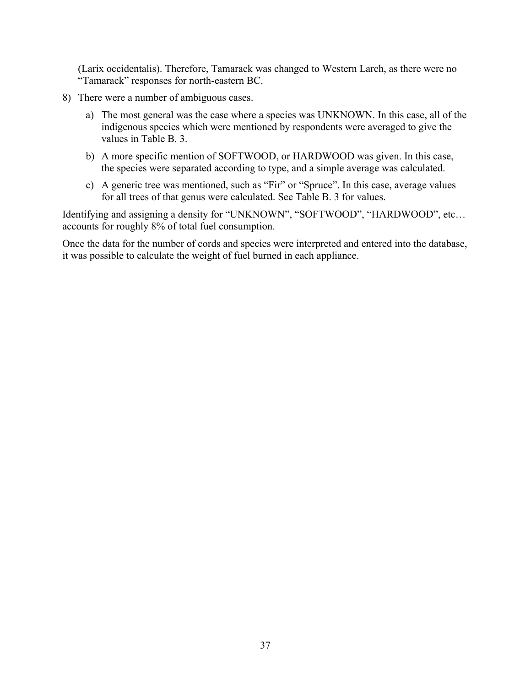(Larix occidentalis). Therefore, Tamarack was changed to Western Larch, as there were no "Tamarack" responses for north-eastern BC.

- 8) There were a number of ambiguous cases.
	- a) The most general was the case where a species was UNKNOWN. In this case, all of the indigenous species which were mentioned by respondents were averaged to give the values in Table B. 3.
	- b) A more specific mention of SOFTWOOD, or HARDWOOD was given. In this case, the species were separated according to type, and a simple average was calculated.
	- c) A generic tree was mentioned, such as "Fir" or "Spruce". In this case, average values for all trees of that genus were calculated. See Table B. 3 for values.

Identifying and assigning a density for "UNKNOWN", "SOFTWOOD", "HARDWOOD", etc… accounts for roughly 8% of total fuel consumption.

Once the data for the number of cords and species were interpreted and entered into the database, it was possible to calculate the weight of fuel burned in each appliance.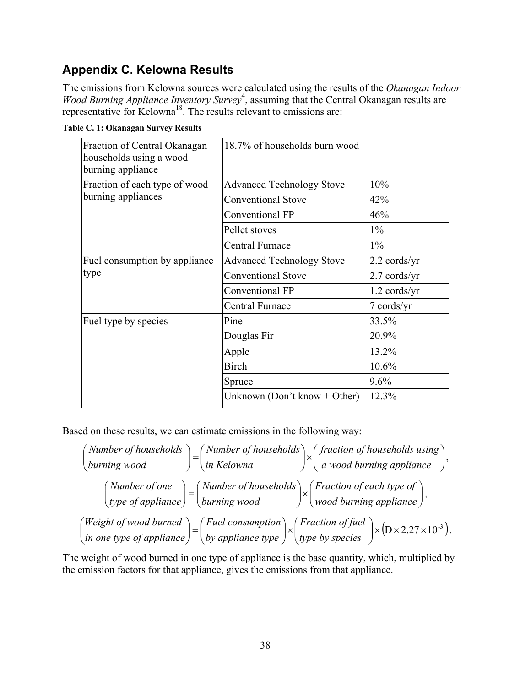### **Appendix C. Kelowna Results**

The emissions from Kelowna sources were calculated using the results of the *Okanagan Indoor*  Wood Burning Appliance Inventory Survey<sup>4</sup>, assuming that the Central Okanagan results are representative for Kelowna<sup>18</sup>. The results relevant to emissions are:

|  | Table C. 1: Okanagan Survey Results |  |
|--|-------------------------------------|--|
|  |                                     |  |

| Fraction of Central Okanagan<br>households using a wood<br>burning appliance | 18.7% of households burn wood    |                        |
|------------------------------------------------------------------------------|----------------------------------|------------------------|
| Fraction of each type of wood                                                | <b>Advanced Technology Stove</b> | 10%                    |
| burning appliances                                                           | <b>Conventional Stove</b>        | 42%                    |
|                                                                              | Conventional FP                  | 46%                    |
|                                                                              | Pellet stoves                    | $1\%$                  |
|                                                                              | Central Furnace                  | $1\%$                  |
| Fuel consumption by appliance                                                | <b>Advanced Technology Stove</b> | $2.2 \text{ cords/yr}$ |
| type                                                                         | <b>Conventional Stove</b>        | $2.7 \text{ cords/yr}$ |
|                                                                              | <b>Conventional FP</b>           | $1.2$ cords/yr         |
|                                                                              | Central Furnace                  | 7 cords/yr             |
| Fuel type by species                                                         | Pine                             | 33.5%                  |
|                                                                              | Douglas Fir                      | 20.9%                  |
|                                                                              | Apple                            | 13.2%                  |
|                                                                              | <b>Birch</b>                     | 10.6%                  |
|                                                                              | Spruce                           | 9.6%                   |
|                                                                              | Unknown (Don't know + Other)     | 12.3%                  |

Based on these results, we can estimate emissions in the following way:

$$
\begin{pmatrix}\nNumber of households \\
burning wood\n\end{pmatrix} = \begin{pmatrix}\nNumber of households \\
in Kelowna\n\end{pmatrix} \times \begin{pmatrix}\nfraction of households using \\
a wood burning appliance\n\end{pmatrix},
$$
\n
$$
\begin{pmatrix}\nNumber of one \\
type of appliance\n\end{pmatrix} = \begin{pmatrix}\nNumber of households \\
burning wood\n\end{pmatrix} \times \begin{pmatrix}\nFraction of each type of \\
wood burning appliance\n\end{pmatrix},
$$
\n
$$
\begin{pmatrix}\nWeight of wood burned \\
in one type of appliance\n\end{pmatrix} = \begin{pmatrix}\nFuel consumption \\
by appliance type\n\end{pmatrix} \times \begin{pmatrix}\nFraction of fuel \\
type by species\n\end{pmatrix} \times \begin{pmatrix}\nD \times 2.27 \times 10^{-3}\n\end{pmatrix}.
$$

The weight of wood burned in one type of appliance is the base quantity, which, multiplied by the emission factors for that appliance, gives the emissions from that appliance.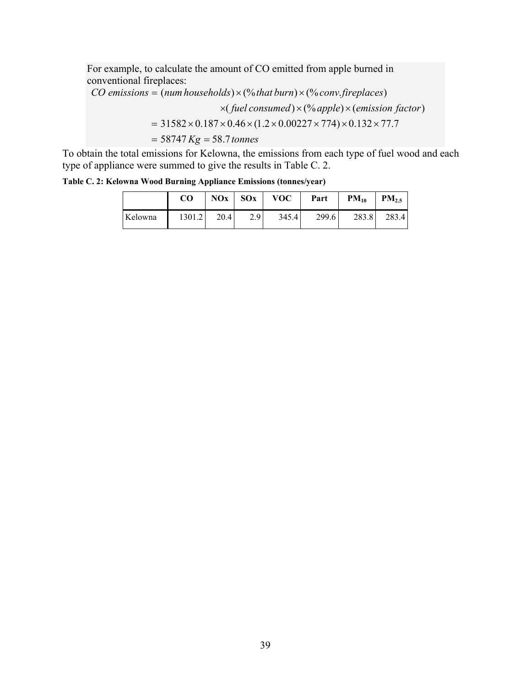For example, to calculate the amount of CO emitted from apple burned in conventional fireplaces:

 $\times$ (fuel consumed)  $\times$  (% apple)  $\times$  (emission factor) *CO* emissions = (num households)  $\times$  (% that burn)  $\times$  (% conv. fireplaces)  $= 31582 \times 0.187 \times 0.46 \times (1.2 \times 0.00227 \times 774) \times 0.132 \times 77.7$ 

 $= 58747 Kg = 58.7$  tonnes

To obtain the total emissions for Kelowna, the emissions from each type of fuel wood and each type of appliance were summed to give the results in Table C. 2.

**Table C. 2: Kelowna Wood Burning Appliance Emissions (tonnes/year)** 

|         | <b>CO</b> |      | $NOx$ SOx | VOC   | Part  | $PM_{10}$ | PM <sub>2.5</sub> |
|---------|-----------|------|-----------|-------|-------|-----------|-------------------|
| Kelowna | 1301.2    | 20.4 | 2.9       | 345.4 | 299.6 | 283.8     | 283.4             |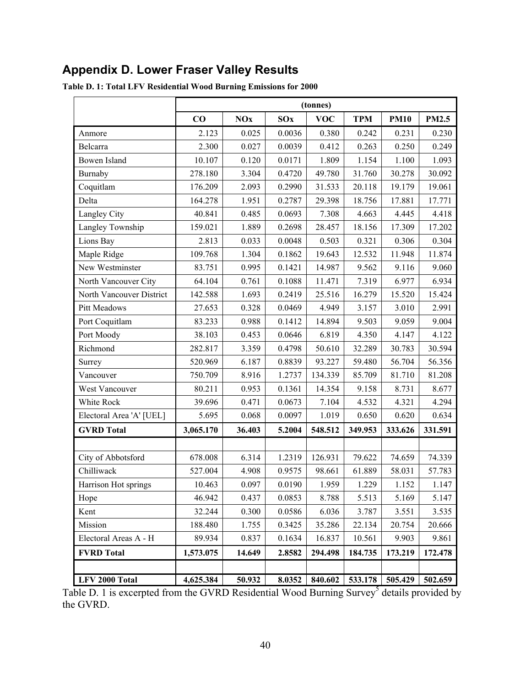## **Appendix D. Lower Fraser Valley Results**

|                          |           |            |        | (tonnes)   |            |             |              |
|--------------------------|-----------|------------|--------|------------|------------|-------------|--------------|
|                          | CO        | <b>NOx</b> | SOx    | <b>VOC</b> | <b>TPM</b> | <b>PM10</b> | <b>PM2.5</b> |
| Anmore                   | 2.123     | 0.025      | 0.0036 | 0.380      | 0.242      | 0.231       | 0.230        |
| Belcarra                 | 2.300     | 0.027      | 0.0039 | 0.412      | 0.263      | 0.250       | 0.249        |
| <b>Bowen Island</b>      | 10.107    | 0.120      | 0.0171 | 1.809      | 1.154      | 1.100       | 1.093        |
| Burnaby                  | 278.180   | 3.304      | 0.4720 | 49.780     | 31.760     | 30.278      | 30.092       |
| Coquitlam                | 176.209   | 2.093      | 0.2990 | 31.533     | 20.118     | 19.179      | 19.061       |
| Delta                    | 164.278   | 1.951      | 0.2787 | 29.398     | 18.756     | 17.881      | 17.771       |
| Langley City             | 40.841    | 0.485      | 0.0693 | 7.308      | 4.663      | 4.445       | 4.418        |
| Langley Township         | 159.021   | 1.889      | 0.2698 | 28.457     | 18.156     | 17.309      | 17.202       |
| Lions Bay                | 2.813     | 0.033      | 0.0048 | 0.503      | 0.321      | 0.306       | 0.304        |
| Maple Ridge              | 109.768   | 1.304      | 0.1862 | 19.643     | 12.532     | 11.948      | 11.874       |
| New Westminster          | 83.751    | 0.995      | 0.1421 | 14.987     | 9.562      | 9.116       | 9.060        |
| North Vancouver City     | 64.104    | 0.761      | 0.1088 | 11.471     | 7.319      | 6.977       | 6.934        |
| North Vancouver District | 142.588   | 1.693      | 0.2419 | 25.516     | 16.279     | 15.520      | 15.424       |
| Pitt Meadows             | 27.653    | 0.328      | 0.0469 | 4.949      | 3.157      | 3.010       | 2.991        |
| Port Coquitlam           | 83.233    | 0.988      | 0.1412 | 14.894     | 9.503      | 9.059       | 9.004        |
| Port Moody               | 38.103    | 0.453      | 0.0646 | 6.819      | 4.350      | 4.147       | 4.122        |
| Richmond                 | 282.817   | 3.359      | 0.4798 | 50.610     | 32.289     | 30.783      | 30.594       |
| Surrey                   | 520.969   | 6.187      | 0.8839 | 93.227     | 59.480     | 56.704      | 56.356       |
| Vancouver                | 750.709   | 8.916      | 1.2737 | 134.339    | 85.709     | 81.710      | 81.208       |
| West Vancouver           | 80.211    | 0.953      | 0.1361 | 14.354     | 9.158      | 8.731       | 8.677        |
| White Rock               | 39.696    | 0.471      | 0.0673 | 7.104      | 4.532      | 4.321       | 4.294        |
| Electoral Area 'A' [UEL] | 5.695     | 0.068      | 0.0097 | 1.019      | 0.650      | 0.620       | 0.634        |
| <b>GVRD</b> Total        | 3,065.170 | 36.403     | 5.2004 | 548.512    | 349.953    | 333.626     | 331.591      |
|                          |           |            |        |            |            |             |              |
| City of Abbotsford       | 678.008   | 6.314      | 1.2319 | 126.931    | 79.622     | 74.659      | 74.339       |
| Chilliwack               | 527.004   | 4.908      | 0.9575 | 98.661     | 61.889     | 58.031      | 57.783       |
| Harrison Hot springs     | 10.463    | 0.097      | 0.0190 | 1.959      | 1.229      | 1.152       | 1.147        |
| Hope                     | 46.942    | 0.437      | 0.0853 | 8.788      | 5.513      | 5.169       | 5.147        |
| Kent                     | 32.244    | 0.300      | 0.0586 | 6.036      | 3.787      | 3.551       | 3.535        |
| Mission                  | 188.480   | 1.755      | 0.3425 | 35.286     | 22.134     | 20.754      | 20.666       |
| Electoral Areas A - H    | 89.934    | 0.837      | 0.1634 | 16.837     | 10.561     | 9.903       | 9.861        |
| <b>FVRD Total</b>        | 1,573.075 | 14.649     | 2.8582 | 294.498    | 184.735    | 173.219     | 172.478      |
|                          |           |            |        |            |            |             |              |
| LFV 2000 Total           | 4,625.384 | 50.932     | 8.0352 | 840.602    | 533.178    | 505.429     | 502.659      |

**Table D. 1: Total LFV Residential Wood Burning Emissions for 2000** 

Table D. 1 is excerpted from the GVRD Residential Wood Burning Survey<sup>5</sup> details provided by the GVRD.